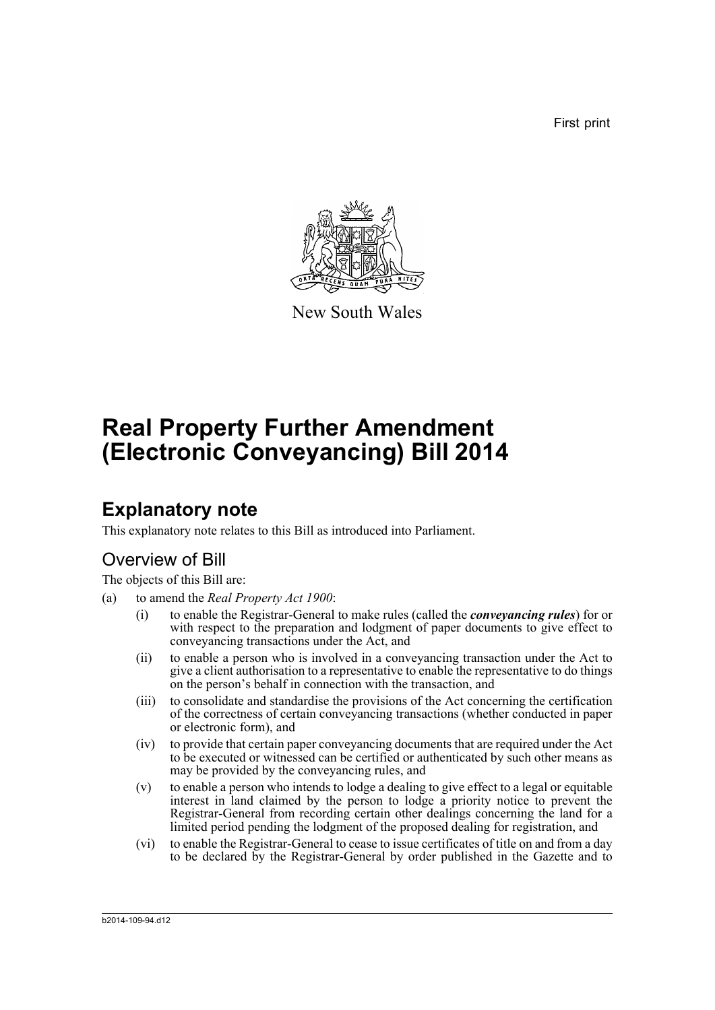First print



New South Wales

# **Real Property Further Amendment (Electronic Conveyancing) Bill 2014**

## **Explanatory note**

This explanatory note relates to this Bill as introduced into Parliament.

### Overview of Bill

The objects of this Bill are:

- (a) to amend the *Real Property Act 1900*:
	- (i) to enable the Registrar-General to make rules (called the *conveyancing rules*) for or with respect to the preparation and lodgment of paper documents to give effect to conveyancing transactions under the Act, and
	- (ii) to enable a person who is involved in a conveyancing transaction under the Act to give a client authorisation to a representative to enable the representative to do things on the person's behalf in connection with the transaction, and
	- (iii) to consolidate and standardise the provisions of the Act concerning the certification of the correctness of certain conveyancing transactions (whether conducted in paper or electronic form), and
	- (iv) to provide that certain paper conveyancing documents that are required under the Act to be executed or witnessed can be certified or authenticated by such other means as may be provided by the conveyancing rules, and
	- (v) to enable a person who intends to lodge a dealing to give effect to a legal or equitable interest in land claimed by the person to lodge a priority notice to prevent the Registrar-General from recording certain other dealings concerning the land for a limited period pending the lodgment of the proposed dealing for registration, and
	- (vi) to enable the Registrar-General to cease to issue certificates of title on and from a day to be declared by the Registrar-General by order published in the Gazette and to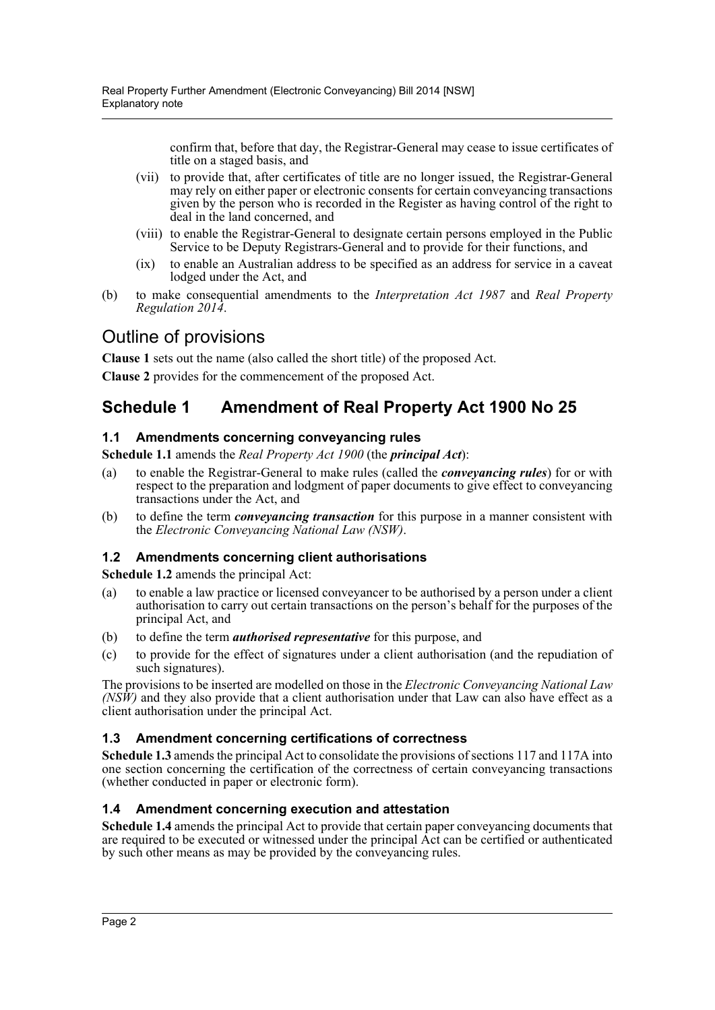confirm that, before that day, the Registrar-General may cease to issue certificates of title on a staged basis, and

- (vii) to provide that, after certificates of title are no longer issued, the Registrar-General may rely on either paper or electronic consents for certain conveyancing transactions given by the person who is recorded in the Register as having control of the right to deal in the land concerned, and
- (viii) to enable the Registrar-General to designate certain persons employed in the Public Service to be Deputy Registrars-General and to provide for their functions, and
- (ix) to enable an Australian address to be specified as an address for service in a caveat lodged under the Act, and
- (b) to make consequential amendments to the *Interpretation Act 1987* and *Real Property Regulation 2014*.

### Outline of provisions

**Clause 1** sets out the name (also called the short title) of the proposed Act.

**Clause 2** provides for the commencement of the proposed Act.

### **Schedule 1 Amendment of Real Property Act 1900 No 25**

#### **1.1 Amendments concerning conveyancing rules**

**Schedule 1.1** amends the *Real Property Act 1900* (the *principal Act*):

- (a) to enable the Registrar-General to make rules (called the *conveyancing rules*) for or with respect to the preparation and lodgment of paper documents to give effect to conveyancing transactions under the Act, and
- (b) to define the term *conveyancing transaction* for this purpose in a manner consistent with the *Electronic Conveyancing National Law (NSW)*.

#### **1.2 Amendments concerning client authorisations**

**Schedule 1.2** amends the principal Act:

- (a) to enable a law practice or licensed conveyancer to be authorised by a person under a client authorisation to carry out certain transactions on the person's behalf for the purposes of the principal Act, and
- (b) to define the term *authorised representative* for this purpose, and
- (c) to provide for the effect of signatures under a client authorisation (and the repudiation of such signatures).

The provisions to be inserted are modelled on those in the *Electronic Conveyancing National Law (NSW)* and they also provide that a client authorisation under that Law can also have effect as a client authorisation under the principal Act.

#### **1.3 Amendment concerning certifications of correctness**

**Schedule 1.3** amends the principal Act to consolidate the provisions of sections 117 and 117A into one section concerning the certification of the correctness of certain conveyancing transactions (whether conducted in paper or electronic form).

#### **1.4 Amendment concerning execution and attestation**

**Schedule 1.4** amends the principal Act to provide that certain paper conveyancing documents that are required to be executed or witnessed under the principal Act can be certified or authenticated by such other means as may be provided by the conveyancing rules.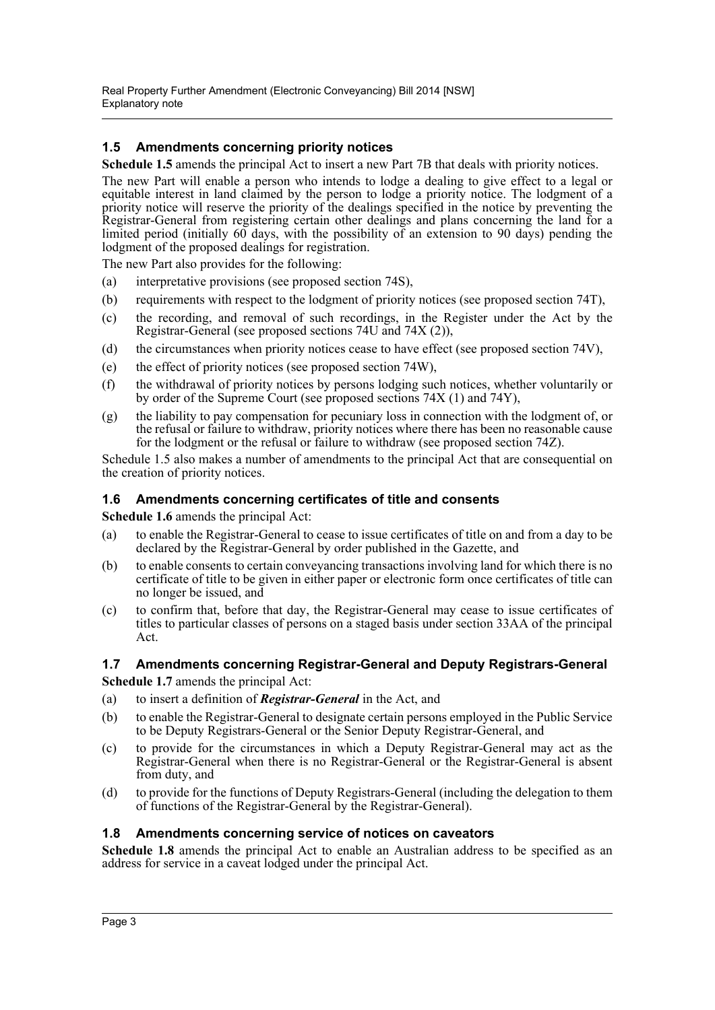#### **1.5 Amendments concerning priority notices**

**Schedule 1.5** amends the principal Act to insert a new Part 7B that deals with priority notices.

The new Part will enable a person who intends to lodge a dealing to give effect to a legal or equitable interest in land claimed by the person to lodge a priority notice. The lodgment of a priority notice will reserve the priority of the dealings specified in the notice by preventing the Registrar-General from registering certain other dealings and plans concerning the land for a limited period (initially  $60$  days, with the possibility of an extension to 90 days) pending the lodgment of the proposed dealings for registration.

The new Part also provides for the following:

- (a) interpretative provisions (see proposed section 74S),
- (b) requirements with respect to the lodgment of priority notices (see proposed section 74T),
- (c) the recording, and removal of such recordings, in the Register under the Act by the Registrar-General (see proposed sections 74U and 74X (2)),
- (d) the circumstances when priority notices cease to have effect (see proposed section 74V),
- (e) the effect of priority notices (see proposed section 74W),
- (f) the withdrawal of priority notices by persons lodging such notices, whether voluntarily or by order of the Supreme Court (see proposed sections 74X (1) and 74Y),
- (g) the liability to pay compensation for pecuniary loss in connection with the lodgment of, or the refusal or failure to withdraw, priority notices where there has been no reasonable cause for the lodgment or the refusal or failure to withdraw (see proposed section 74Z).

Schedule 1.5 also makes a number of amendments to the principal Act that are consequential on the creation of priority notices.

#### **1.6 Amendments concerning certificates of title and consents**

**Schedule 1.6** amends the principal Act:

- (a) to enable the Registrar-General to cease to issue certificates of title on and from a day to be declared by the Registrar-General by order published in the Gazette, and
- (b) to enable consents to certain conveyancing transactions involving land for which there is no certificate of title to be given in either paper or electronic form once certificates of title can no longer be issued, and
- (c) to confirm that, before that day, the Registrar-General may cease to issue certificates of titles to particular classes of persons on a staged basis under section 33AA of the principal Act.

#### **1.7 Amendments concerning Registrar-General and Deputy Registrars-General**

**Schedule 1.7** amends the principal Act:

- (a) to insert a definition of *Registrar-General* in the Act, and
- (b) to enable the Registrar-General to designate certain persons employed in the Public Service to be Deputy Registrars-General or the Senior Deputy Registrar-General, and
- (c) to provide for the circumstances in which a Deputy Registrar-General may act as the Registrar-General when there is no Registrar-General or the Registrar-General is absent from duty, and
- (d) to provide for the functions of Deputy Registrars-General (including the delegation to them of functions of the Registrar-General by the Registrar-General).

#### **1.8 Amendments concerning service of notices on caveators**

**Schedule 1.8** amends the principal Act to enable an Australian address to be specified as an address for service in a caveat lodged under the principal Act.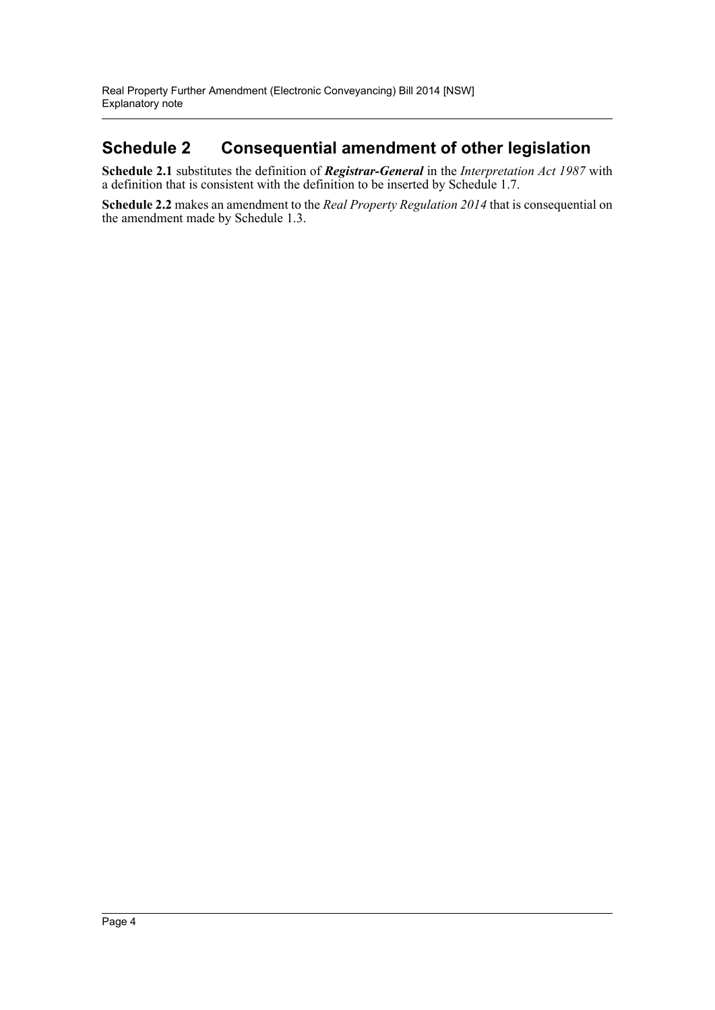### **Schedule 2 Consequential amendment of other legislation**

**Schedule 2.1** substitutes the definition of *Registrar-General* in the *Interpretation Act 1987* with a definition that is consistent with the definition to be inserted by Schedule 1.7.

**Schedule 2.2** makes an amendment to the *Real Property Regulation 2014* that is consequential on the amendment made by Schedule 1.3.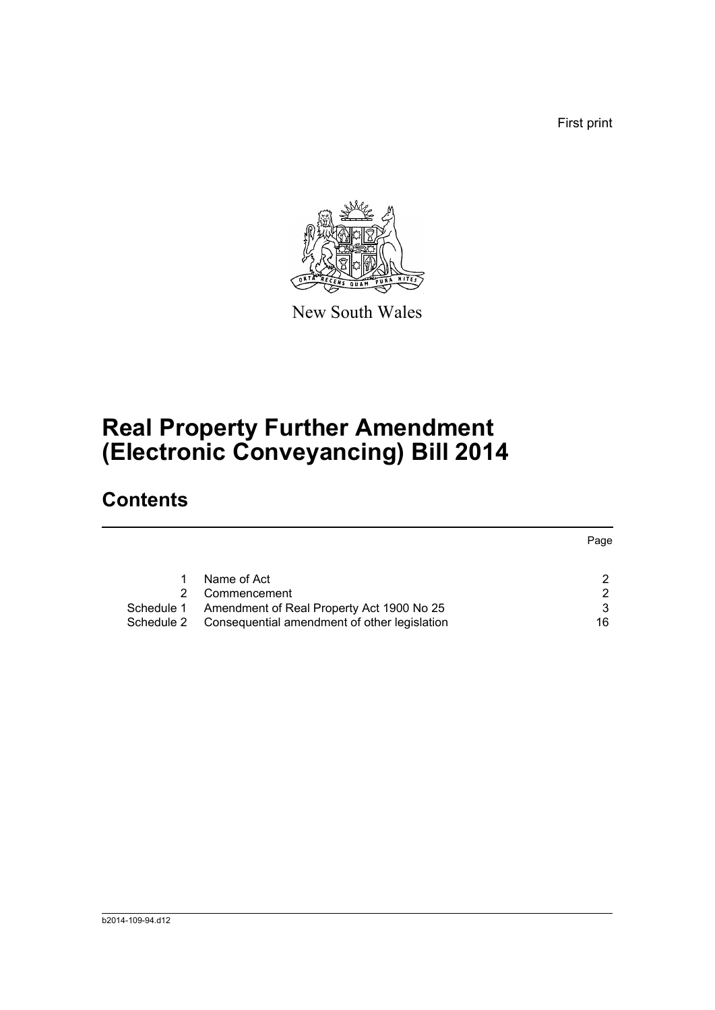First print



New South Wales

# **Real Property Further Amendment (Electronic Conveyancing) Bill 2014**

# **Contents**

|            |                                              | Page |
|------------|----------------------------------------------|------|
|            |                                              |      |
|            | Name of Act                                  | 2    |
|            | Commencement                                 | 2    |
| Schedule 1 | Amendment of Real Property Act 1900 No 25    |      |
| Schedule 2 | Consequential amendment of other legislation | 16   |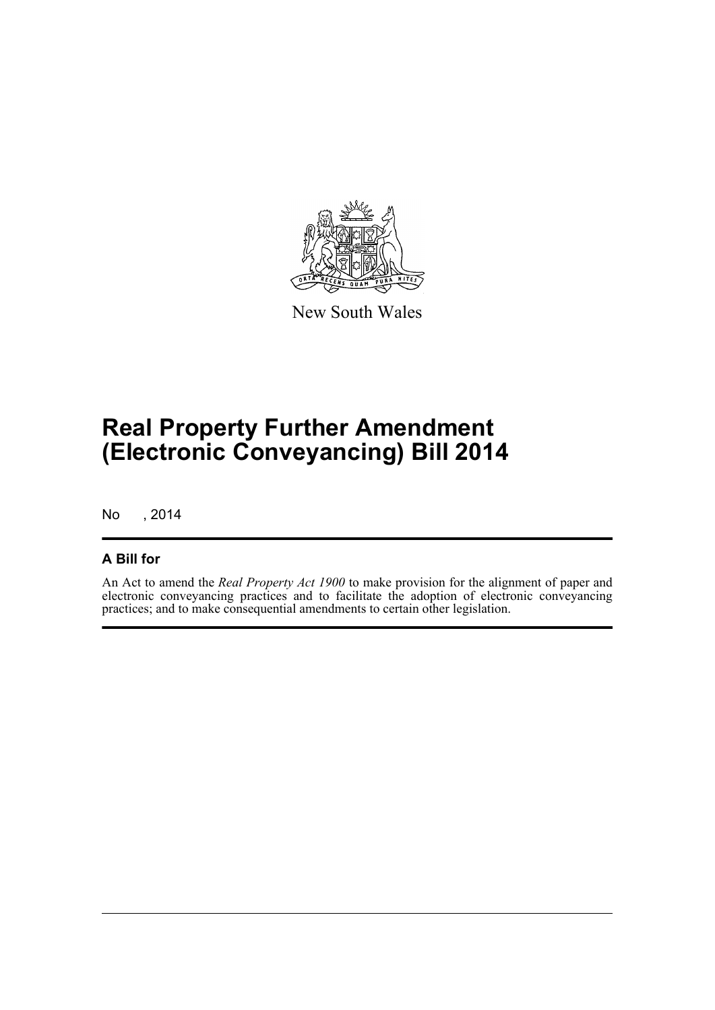

New South Wales

# **Real Property Further Amendment (Electronic Conveyancing) Bill 2014**

No , 2014

### **A Bill for**

An Act to amend the *Real Property Act 1900* to make provision for the alignment of paper and electronic conveyancing practices and to facilitate the adoption of electronic conveyancing practices; and to make consequential amendments to certain other legislation.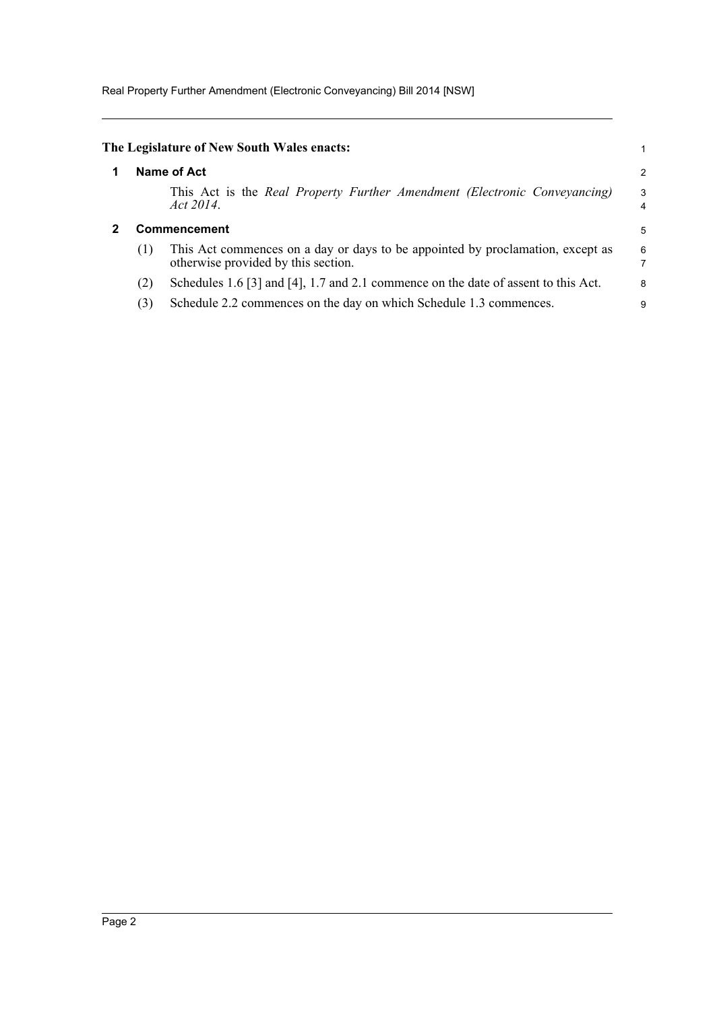Real Property Further Amendment (Electronic Conveyancing) Bill 2014 [NSW]

<span id="page-6-1"></span><span id="page-6-0"></span>

|                     | The Legislature of New South Wales enacts:                                                                            |                  |  |  |  |  |
|---------------------|-----------------------------------------------------------------------------------------------------------------------|------------------|--|--|--|--|
| Name of Act         |                                                                                                                       |                  |  |  |  |  |
|                     | This Act is the Real Property Further Amendment (Electronic Conveyancing)<br>Act 2014.                                | 3<br>4           |  |  |  |  |
| <b>Commencement</b> |                                                                                                                       |                  |  |  |  |  |
| (1)                 | This Act commences on a day or days to be appointed by proclamation, except as<br>otherwise provided by this section. | $\boldsymbol{6}$ |  |  |  |  |
| (2)                 | Schedules 1.6 [3] and [4], 1.7 and 2.1 commence on the date of assent to this Act.                                    | 8                |  |  |  |  |
| (3)                 | Schedule 2.2 commences on the day on which Schedule 1.3 commences.                                                    | 9                |  |  |  |  |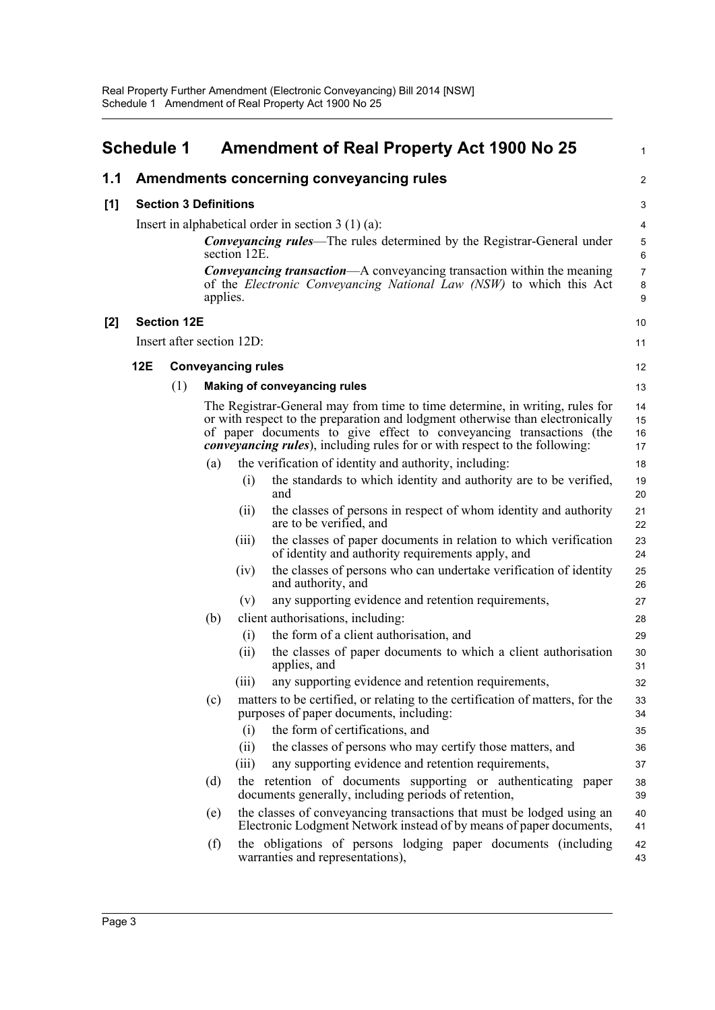<span id="page-7-0"></span>

|     | <b>Schedule 1</b> |                              |          |                           | <b>Amendment of Real Property Act 1900 No 25</b>                                                                                                                                                                                                                                                                           | 1                        |
|-----|-------------------|------------------------------|----------|---------------------------|----------------------------------------------------------------------------------------------------------------------------------------------------------------------------------------------------------------------------------------------------------------------------------------------------------------------------|--------------------------|
| 1.1 |                   |                              |          |                           | Amendments concerning conveyancing rules                                                                                                                                                                                                                                                                                   | $\overline{\mathbf{c}}$  |
| [1] |                   | <b>Section 3 Definitions</b> |          |                           |                                                                                                                                                                                                                                                                                                                            | 3                        |
|     |                   |                              |          |                           | Insert in alphabetical order in section $3(1)(a)$ :                                                                                                                                                                                                                                                                        | 4                        |
|     |                   |                              |          | section 12E.              | <b>Conveyancing rules—The rules determined by the Registrar-General under</b>                                                                                                                                                                                                                                              | 5<br>6                   |
|     |                   |                              | applies. |                           | <b>Conveyancing transaction—A</b> conveyancing transaction within the meaning<br>of the Electronic Conveyancing National Law (NSW) to which this Act                                                                                                                                                                       | $\overline{7}$<br>8<br>9 |
| [2] |                   | <b>Section 12E</b>           |          |                           |                                                                                                                                                                                                                                                                                                                            | 10                       |
|     |                   |                              |          | Insert after section 12D: |                                                                                                                                                                                                                                                                                                                            | 11                       |
|     | 12E               |                              |          | <b>Conveyancing rules</b> |                                                                                                                                                                                                                                                                                                                            | 12                       |
|     |                   | (1)                          |          |                           | <b>Making of conveyancing rules</b>                                                                                                                                                                                                                                                                                        | 13                       |
|     |                   |                              |          |                           | The Registrar-General may from time to time determine, in writing, rules for<br>or with respect to the preparation and lodgment otherwise than electronically<br>of paper documents to give effect to conveyancing transactions (the<br><i>convevancing rules</i> ), including rules for or with respect to the following: | 14<br>15<br>16<br>17     |
|     |                   |                              | (a)      |                           | the verification of identity and authority, including:                                                                                                                                                                                                                                                                     | 18                       |
|     |                   |                              |          | (i)                       | the standards to which identity and authority are to be verified,<br>and                                                                                                                                                                                                                                                   | 19<br>20                 |
|     |                   |                              |          | (ii)                      | the classes of persons in respect of whom identity and authority<br>are to be verified, and                                                                                                                                                                                                                                | 21<br>22                 |
|     |                   |                              |          | (iii)                     | the classes of paper documents in relation to which verification<br>of identity and authority requirements apply, and                                                                                                                                                                                                      | 23<br>24                 |
|     |                   |                              |          | (iv)                      | the classes of persons who can undertake verification of identity<br>and authority, and                                                                                                                                                                                                                                    | 25<br>26                 |
|     |                   |                              |          | (v)                       | any supporting evidence and retention requirements,                                                                                                                                                                                                                                                                        | 27                       |
|     |                   |                              | (b)      |                           | client authorisations, including:                                                                                                                                                                                                                                                                                          | 28                       |
|     |                   |                              |          | (i)                       | the form of a client authorisation, and                                                                                                                                                                                                                                                                                    | 29                       |
|     |                   |                              |          | (i)                       | the classes of paper documents to which a client authorisation<br>applies, and                                                                                                                                                                                                                                             | 30<br>31                 |
|     |                   |                              |          | (iii)                     | any supporting evidence and retention requirements,                                                                                                                                                                                                                                                                        | 32                       |
|     |                   |                              | (c)      |                           | matters to be certified, or relating to the certification of matters, for the<br>purposes of paper documents, including:                                                                                                                                                                                                   | 33<br>34                 |
|     |                   |                              |          | (i)                       | the form of certifications, and                                                                                                                                                                                                                                                                                            | 35                       |
|     |                   |                              |          | (ii)                      | the classes of persons who may certify those matters, and                                                                                                                                                                                                                                                                  | 36                       |
|     |                   |                              |          | (iii)                     | any supporting evidence and retention requirements,                                                                                                                                                                                                                                                                        | 37                       |
|     |                   |                              | (d)      |                           | the retention of documents supporting or authenticating paper<br>documents generally, including periods of retention,                                                                                                                                                                                                      | 38<br>39                 |
|     |                   |                              | (e)      |                           | the classes of conveyancing transactions that must be lodged using an<br>Electronic Lodgment Network instead of by means of paper documents,                                                                                                                                                                               | 40<br>41                 |
|     |                   |                              | (f)      |                           | the obligations of persons lodging paper documents (including<br>warranties and representations),                                                                                                                                                                                                                          | 42<br>43                 |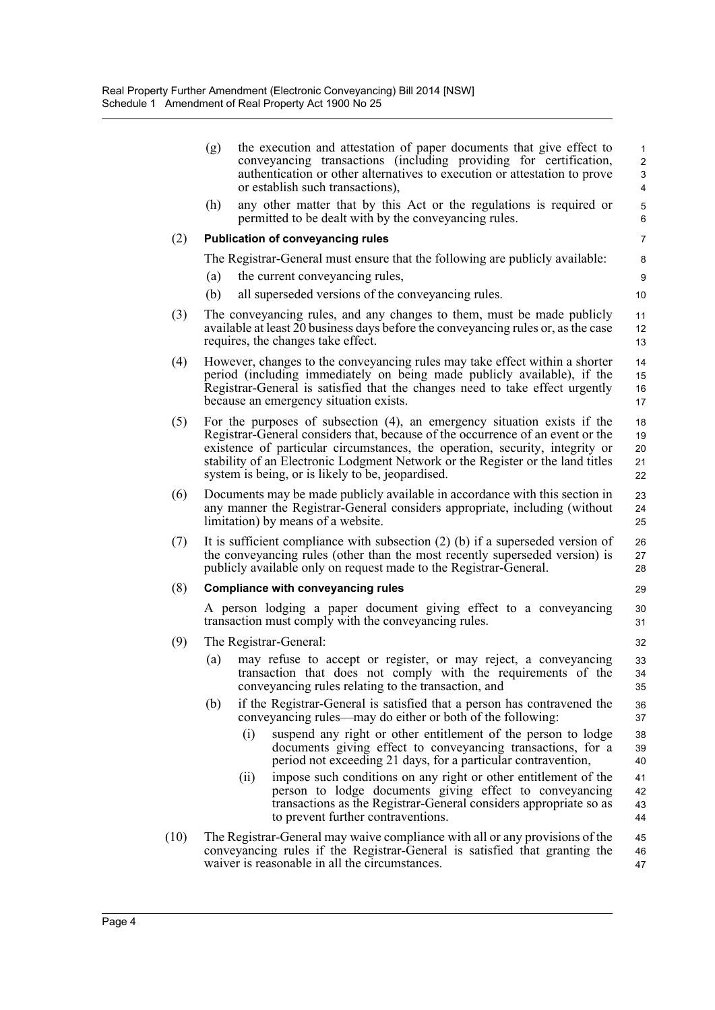|      | (g)                                                                                                                                                                                                                                                                                                                                                                                  | the execution and attestation of paper documents that give effect to<br>conveyancing transactions (including providing for certification,<br>authentication or other alternatives to execution or attestation to prove<br>or establish such transactions), | $\mathbf{1}$<br>$\overline{c}$<br>3<br>4 |  |  |  |
|------|--------------------------------------------------------------------------------------------------------------------------------------------------------------------------------------------------------------------------------------------------------------------------------------------------------------------------------------------------------------------------------------|------------------------------------------------------------------------------------------------------------------------------------------------------------------------------------------------------------------------------------------------------------|------------------------------------------|--|--|--|
|      | (h)                                                                                                                                                                                                                                                                                                                                                                                  | any other matter that by this Act or the regulations is required or<br>permitted to be dealt with by the conveyancing rules.                                                                                                                               | 5<br>6                                   |  |  |  |
| (2)  |                                                                                                                                                                                                                                                                                                                                                                                      | <b>Publication of conveyancing rules</b>                                                                                                                                                                                                                   | $\overline{7}$                           |  |  |  |
|      |                                                                                                                                                                                                                                                                                                                                                                                      | The Registrar-General must ensure that the following are publicly available:                                                                                                                                                                               | 8                                        |  |  |  |
|      | (a)                                                                                                                                                                                                                                                                                                                                                                                  | the current conveyancing rules,                                                                                                                                                                                                                            | 9                                        |  |  |  |
|      | (b)                                                                                                                                                                                                                                                                                                                                                                                  | all superseded versions of the conveyancing rules.                                                                                                                                                                                                         | 10                                       |  |  |  |
| (3)  |                                                                                                                                                                                                                                                                                                                                                                                      | The conveyancing rules, and any changes to them, must be made publicly<br>available at least 20 business days before the conveyancing rules or, as the case<br>requires, the changes take effect.                                                          | 11<br>12<br>13                           |  |  |  |
| (4)  | However, changes to the conveyancing rules may take effect within a shorter<br>period (including immediately on being made publicly available), if the<br>Registrar-General is satisfied that the changes need to take effect urgently<br>because an emergency situation exists.                                                                                                     |                                                                                                                                                                                                                                                            |                                          |  |  |  |
| (5)  | For the purposes of subsection $(4)$ , an emergency situation exists if the<br>Registrar-General considers that, because of the occurrence of an event or the<br>existence of particular circumstances, the operation, security, integrity or<br>stability of an Electronic Lodgment Network or the Register or the land titles<br>system is being, or is likely to be, jeopardised. |                                                                                                                                                                                                                                                            |                                          |  |  |  |
| (6)  |                                                                                                                                                                                                                                                                                                                                                                                      | Documents may be made publicly available in accordance with this section in<br>any manner the Registrar-General considers appropriate, including (without<br>limitation) by means of a website.                                                            |                                          |  |  |  |
| (7)  |                                                                                                                                                                                                                                                                                                                                                                                      | It is sufficient compliance with subsection $(2)$ (b) if a superseded version of<br>the conveyancing rules (other than the most recently superseded version) is<br>publicly available only on request made to the Registrar-General.                       |                                          |  |  |  |
| (8)  |                                                                                                                                                                                                                                                                                                                                                                                      | <b>Compliance with conveyancing rules</b>                                                                                                                                                                                                                  | 29                                       |  |  |  |
|      |                                                                                                                                                                                                                                                                                                                                                                                      | A person lodging a paper document giving effect to a conveyancing<br>transaction must comply with the conveyancing rules.                                                                                                                                  |                                          |  |  |  |
| (9)  |                                                                                                                                                                                                                                                                                                                                                                                      | The Registrar-General:                                                                                                                                                                                                                                     | 32                                       |  |  |  |
|      | (a)                                                                                                                                                                                                                                                                                                                                                                                  | may refuse to accept or register, or may reject, a conveyancing<br>transaction that does not comply with the requirements of the<br>conveyancing rules relating to the transaction, and                                                                    | 33<br>34<br>35                           |  |  |  |
|      | (b)                                                                                                                                                                                                                                                                                                                                                                                  | if the Registrar-General is satisfied that a person has contravened the<br>conveyancing rules—may do either or both of the following:                                                                                                                      | 36<br>37                                 |  |  |  |
|      |                                                                                                                                                                                                                                                                                                                                                                                      | suspend any right or other entitlement of the person to lodge<br>(i)<br>documents giving effect to conveyancing transactions, for a<br>period not exceeding 21 days, for a particular contravention,                                                       | 38<br>39<br>40                           |  |  |  |
|      |                                                                                                                                                                                                                                                                                                                                                                                      | (ii)<br>impose such conditions on any right or other entitlement of the<br>person to lodge documents giving effect to conveyancing<br>transactions as the Registrar-General considers appropriate so as<br>to prevent further contraventions.              | 41<br>42<br>43<br>44                     |  |  |  |
| (10) |                                                                                                                                                                                                                                                                                                                                                                                      | The Registrar-General may waive compliance with all or any provisions of the<br>conveyancing rules if the Registrar-General is satisfied that granting the<br>waiver is reasonable in all the circumstances.                                               | 45<br>46<br>47                           |  |  |  |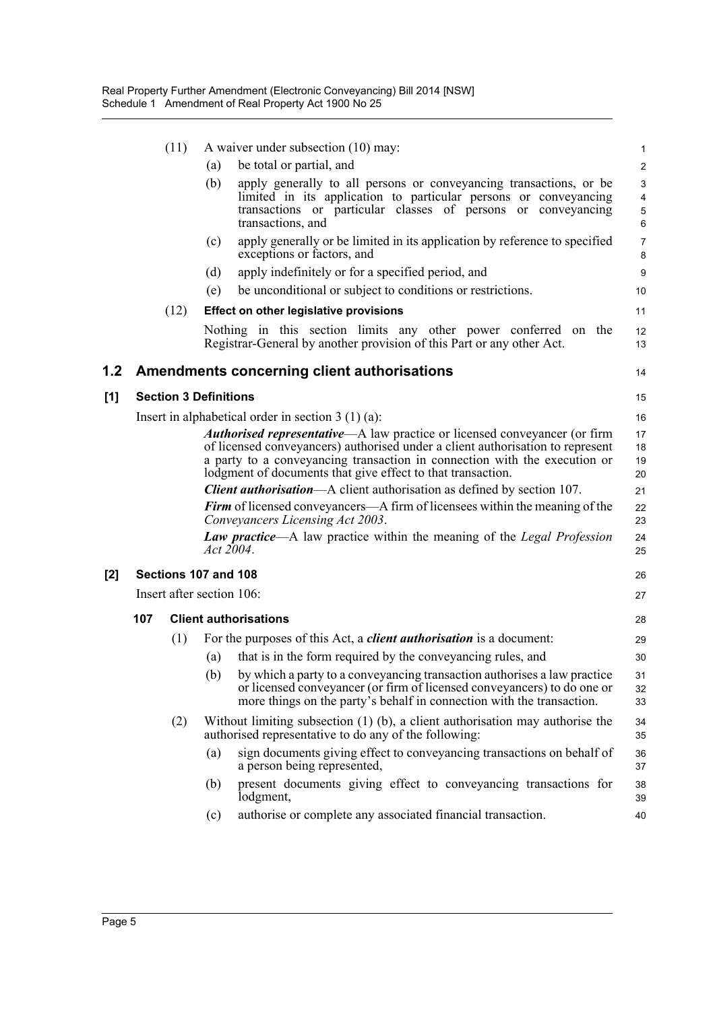|     |     | (11)                         |           | A waiver under subsection (10) may:                                                                                                                                                                                                                                                                     | $\mathbf{1}$                                          |
|-----|-----|------------------------------|-----------|---------------------------------------------------------------------------------------------------------------------------------------------------------------------------------------------------------------------------------------------------------------------------------------------------------|-------------------------------------------------------|
|     |     |                              | (a)       | be total or partial, and                                                                                                                                                                                                                                                                                | $\overline{c}$                                        |
|     |     |                              | (b)       | apply generally to all persons or conveyancing transactions, or be<br>limited in its application to particular persons or conveyancing<br>transactions or particular classes of persons or conveyancing<br>transactions, and                                                                            | $\ensuremath{\mathsf{3}}$<br>$\overline{4}$<br>5<br>6 |
|     |     |                              | (c)       | apply generally or be limited in its application by reference to specified<br>exceptions or factors, and                                                                                                                                                                                                | $\overline{7}$<br>8                                   |
|     |     |                              | (d)       | apply indefinitely or for a specified period, and                                                                                                                                                                                                                                                       | 9                                                     |
|     |     |                              | (e)       | be unconditional or subject to conditions or restrictions.                                                                                                                                                                                                                                              | 10                                                    |
|     |     | (12)                         |           | <b>Effect on other legislative provisions</b>                                                                                                                                                                                                                                                           | 11                                                    |
|     |     |                              |           | Nothing in this section limits any other power conferred on the<br>Registrar-General by another provision of this Part or any other Act.                                                                                                                                                                | 12<br>13                                              |
| 1.2 |     |                              |           | <b>Amendments concerning client authorisations</b>                                                                                                                                                                                                                                                      | 14                                                    |
| [1] |     | <b>Section 3 Definitions</b> |           |                                                                                                                                                                                                                                                                                                         | 15                                                    |
|     |     |                              |           | Insert in alphabetical order in section $3(1)(a)$ :                                                                                                                                                                                                                                                     | 16                                                    |
|     |     |                              |           | Authorised representative-A law practice or licensed conveyancer (or firm<br>of licensed conveyancers) authorised under a client authorisation to represent<br>a party to a conveyancing transaction in connection with the execution or<br>lodgment of documents that give effect to that transaction. | 17<br>18<br>19<br>20                                  |
|     |     |                              |           | <b>Client authorisation—A</b> client authorisation as defined by section 107.                                                                                                                                                                                                                           | 21                                                    |
|     |     |                              |           | Firm of licensed conveyancers—A firm of licensees within the meaning of the<br>Conveyancers Licensing Act 2003.                                                                                                                                                                                         | 22<br>23                                              |
|     |     |                              | Act 2004. | <b>Law practice—A</b> law practice within the meaning of the Legal Profession                                                                                                                                                                                                                           | 24<br>25                                              |
| [2] |     | Sections 107 and 108         |           |                                                                                                                                                                                                                                                                                                         | 26                                                    |
|     |     | Insert after section 106:    |           |                                                                                                                                                                                                                                                                                                         | 27                                                    |
|     | 107 |                              |           | <b>Client authorisations</b>                                                                                                                                                                                                                                                                            | 28                                                    |
|     |     | (1)                          |           | For the purposes of this Act, a <i>client authorisation</i> is a document:                                                                                                                                                                                                                              | 29                                                    |
|     |     |                              | (a)       | that is in the form required by the conveyancing rules, and                                                                                                                                                                                                                                             | 30                                                    |
|     |     |                              |           | (b) by which a party to a conveyancing transaction authorises a law practice<br>or licensed conveyancer (or firm of licensed conveyancers) to do one or<br>more things on the party's behalf in connection with the transaction.                                                                        | 31<br>32<br>33                                        |
|     |     | (2)                          |           | Without limiting subsection $(1)$ $(b)$ , a client authorisation may authorise the<br>authorised representative to do any of the following:                                                                                                                                                             | 34<br>35                                              |
|     |     |                              | (a)       | sign documents giving effect to conveyancing transactions on behalf of<br>a person being represented,                                                                                                                                                                                                   | 36<br>37                                              |
|     |     |                              | (b)       | present documents giving effect to conveyancing transactions for<br>lodgment,                                                                                                                                                                                                                           | 38<br>39                                              |
|     |     |                              | (c)       | authorise or complete any associated financial transaction.                                                                                                                                                                                                                                             | 40                                                    |

 $[1]$ 

**[2]**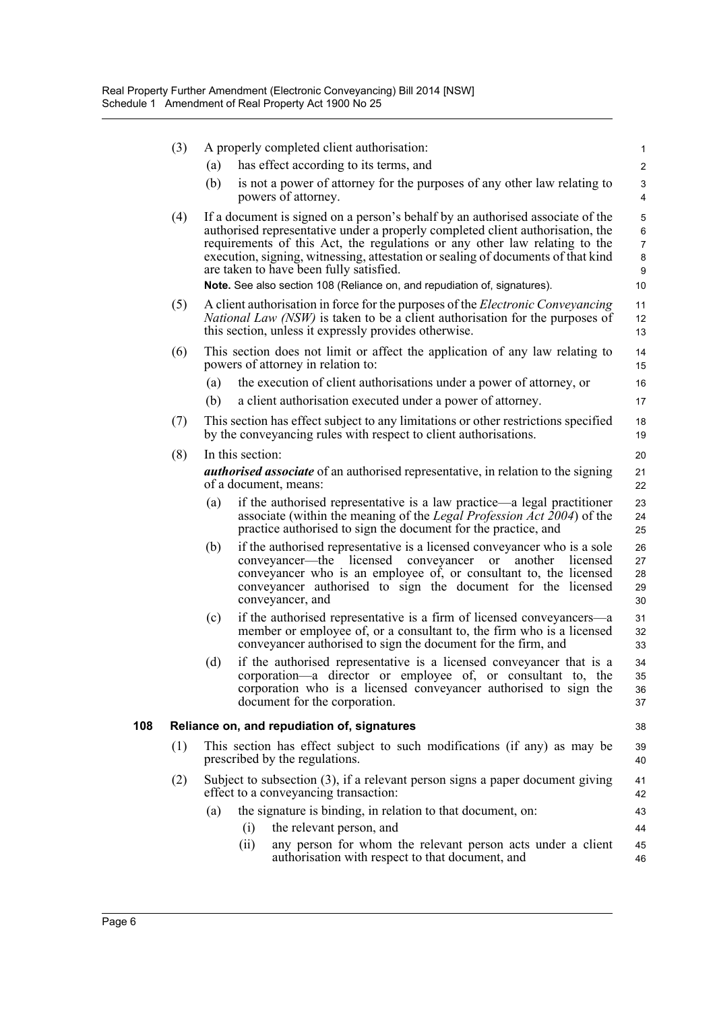|     | (3) |     | A properly completed client authorisation:                                                                                                                                                                                                                                                                                                                                    | $\mathbf{1}$                       |
|-----|-----|-----|-------------------------------------------------------------------------------------------------------------------------------------------------------------------------------------------------------------------------------------------------------------------------------------------------------------------------------------------------------------------------------|------------------------------------|
|     |     | (a) | has effect according to its terms, and                                                                                                                                                                                                                                                                                                                                        | $\overline{c}$                     |
|     |     | (b) | is not a power of attorney for the purposes of any other law relating to<br>powers of attorney.                                                                                                                                                                                                                                                                               | $\ensuremath{\mathsf{3}}$<br>4     |
|     | (4) |     | If a document is signed on a person's behalf by an authorised associate of the<br>authorised representative under a properly completed client authorisation, the<br>requirements of this Act, the regulations or any other law relating to the<br>execution, signing, witnessing, attestation or sealing of documents of that kind<br>are taken to have been fully satisfied. | 5<br>6<br>$\overline{7}$<br>8<br>9 |
|     |     |     | Note. See also section 108 (Reliance on, and repudiation of, signatures).                                                                                                                                                                                                                                                                                                     | 10                                 |
|     | (5) |     | A client authorisation in force for the purposes of the <i>Electronic Conveyancing</i><br><i>National Law (NSW)</i> is taken to be a client authorisation for the purposes of<br>this section, unless it expressly provides otherwise.                                                                                                                                        | 11<br>12<br>13                     |
|     | (6) |     | This section does not limit or affect the application of any law relating to<br>powers of attorney in relation to:                                                                                                                                                                                                                                                            | 14<br>15                           |
|     |     | (a) | the execution of client authorisations under a power of attorney, or                                                                                                                                                                                                                                                                                                          | 16                                 |
|     |     | (b) | a client authorisation executed under a power of attorney.                                                                                                                                                                                                                                                                                                                    | 17                                 |
|     | (7) |     | This section has effect subject to any limitations or other restrictions specified<br>by the conveyancing rules with respect to client authorisations.                                                                                                                                                                                                                        | 18<br>19                           |
|     | (8) |     | In this section:                                                                                                                                                                                                                                                                                                                                                              | 20                                 |
|     |     |     | <i>authorised associate</i> of an authorised representative, in relation to the signing<br>of a document, means:                                                                                                                                                                                                                                                              | 21<br>22                           |
|     |     | (a) | if the authorised representative is a law practice—a legal practitioner<br>associate (within the meaning of the <i>Legal Profession Act 2004</i> ) of the<br>practice authorised to sign the document for the practice, and                                                                                                                                                   | 23<br>24<br>25                     |
|     |     | (b) | if the authorised representative is a licensed conveyancer who is a sole<br>conveyancer—the licensed conveyancer or another licensed<br>conveyancer who is an employee of, or consultant to, the licensed<br>conveyancer authorised to sign the document for the licensed<br>conveyancer, and                                                                                 | 26<br>27<br>28<br>29<br>30         |
|     |     | (c) | if the authorised representative is a firm of licensed conveyancers—a<br>member or employee of, or a consultant to, the firm who is a licensed<br>conveyancer authorised to sign the document for the firm, and                                                                                                                                                               | 31<br>32<br>33                     |
|     |     | (d) | if the authorised representative is a licensed conveyancer that is a<br>corporation—a director or employee of, or consultant to, the<br>corporation who is a licensed conveyancer authorised to sign the<br>document for the corporation.                                                                                                                                     | 34<br>35<br>36<br>37               |
| 108 |     |     | Reliance on, and repudiation of, signatures                                                                                                                                                                                                                                                                                                                                   | 38                                 |
|     | (1) |     | This section has effect subject to such modifications (if any) as may be<br>prescribed by the regulations.                                                                                                                                                                                                                                                                    | 39<br>40                           |
|     | (2) |     | Subject to subsection $(3)$ , if a relevant person signs a paper document giving<br>effect to a conveyancing transaction:                                                                                                                                                                                                                                                     | 41<br>42                           |
|     |     | (a) | the signature is binding, in relation to that document, on:                                                                                                                                                                                                                                                                                                                   | 43                                 |
|     |     |     | the relevant person, and<br>(i)                                                                                                                                                                                                                                                                                                                                               | 44                                 |
|     |     |     | any person for whom the relevant person acts under a client<br>(ii)<br>authorisation with respect to that document, and                                                                                                                                                                                                                                                       | 45<br>46                           |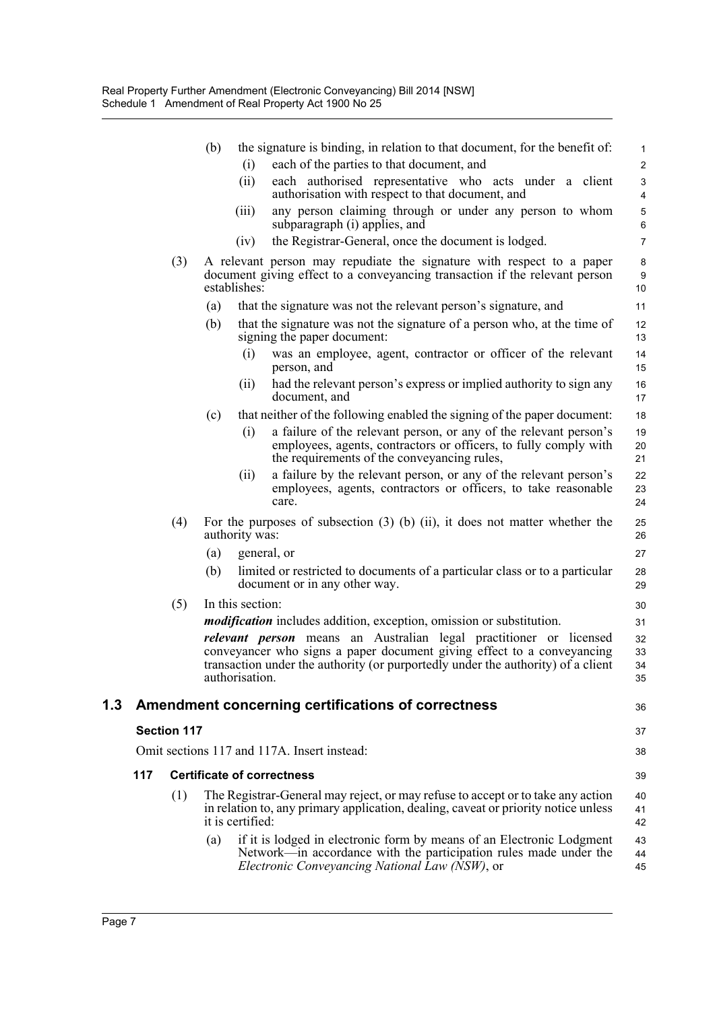|     |                    |     | (b) |                  | the signature is binding, in relation to that document, for the benefit of:                                                                                                                                                             | $\mathbf{1}$         |
|-----|--------------------|-----|-----|------------------|-----------------------------------------------------------------------------------------------------------------------------------------------------------------------------------------------------------------------------------------|----------------------|
|     |                    |     |     | (i)              | each of the parties to that document, and                                                                                                                                                                                               | $\overline{2}$       |
|     |                    |     |     | (ii)             | each authorised representative who acts under a client<br>authorisation with respect to that document, and                                                                                                                              | 3<br>4               |
|     |                    |     |     | (iii)            | any person claiming through or under any person to whom<br>subparagraph (i) applies, and                                                                                                                                                | $\mathbf 5$<br>6     |
|     |                    |     |     | (iv)             | the Registrar-General, once the document is lodged.                                                                                                                                                                                     | $\overline{7}$       |
|     |                    | (3) |     | establishes:     | A relevant person may repudiate the signature with respect to a paper<br>document giving effect to a conveyancing transaction if the relevant person                                                                                    | 8<br>$9\,$<br>10     |
|     |                    |     | (a) |                  | that the signature was not the relevant person's signature, and                                                                                                                                                                         | 11                   |
|     |                    |     | (b) |                  | that the signature was not the signature of a person who, at the time of<br>signing the paper document:                                                                                                                                 | 12<br>13             |
|     |                    |     |     | (i)              | was an employee, agent, contractor or officer of the relevant<br>person, and                                                                                                                                                            | 14<br>15             |
|     |                    |     |     | (ii)             | had the relevant person's express or implied authority to sign any<br>document, and                                                                                                                                                     | 16<br>17             |
|     |                    |     | (c) |                  | that neither of the following enabled the signing of the paper document:                                                                                                                                                                | 18                   |
|     |                    |     |     | (i)              | a failure of the relevant person, or any of the relevant person's<br>employees, agents, contractors or officers, to fully comply with<br>the requirements of the conveyancing rules,                                                    | 19<br>20<br>21       |
|     |                    |     |     | (i)              | a failure by the relevant person, or any of the relevant person's<br>employees, agents, contractors or officers, to take reasonable<br>care.                                                                                            | 22<br>23<br>24       |
|     |                    | (4) |     | authority was:   | For the purposes of subsection $(3)$ (b) $(ii)$ , it does not matter whether the                                                                                                                                                        | 25<br>26             |
|     |                    |     | (a) | general, or      |                                                                                                                                                                                                                                         | 27                   |
|     |                    |     | (b) |                  | limited or restricted to documents of a particular class or to a particular<br>document or in any other way.                                                                                                                            | 28<br>29             |
|     |                    | (5) |     | In this section: |                                                                                                                                                                                                                                         | 30                   |
|     |                    |     |     |                  | <i>modification</i> includes addition, exception, omission or substitution.                                                                                                                                                             | 31                   |
|     |                    |     |     | authorisation.   | <i>relevant person</i> means an Australian legal practitioner or licensed<br>conveyancer who signs a paper document giving effect to a conveyancing<br>transaction under the authority (or purportedly under the authority) of a client | 32<br>33<br>34<br>35 |
| 1.3 |                    |     |     |                  | Amendment concerning certifications of correctness                                                                                                                                                                                      | 36                   |
|     | <b>Section 117</b> |     |     |                  |                                                                                                                                                                                                                                         | 37                   |
|     |                    |     |     |                  | Omit sections 117 and 117A. Insert instead:                                                                                                                                                                                             | 38                   |
|     | 117                |     |     |                  | <b>Certificate of correctness</b>                                                                                                                                                                                                       | 39                   |
|     |                    | (1) |     | it is certified: | The Registrar-General may reject, or may refuse to accept or to take any action<br>in relation to, any primary application, dealing, caveat or priority notice unless                                                                   | 40<br>41<br>42       |
|     |                    |     | (a) |                  | if it is lodged in electronic form by means of an Electronic Lodgment<br>Network—in accordance with the participation rules made under the<br>Electronic Conveyancing National Law (NSW), or                                            | 43<br>44<br>45       |
|     |                    |     |     |                  |                                                                                                                                                                                                                                         |                      |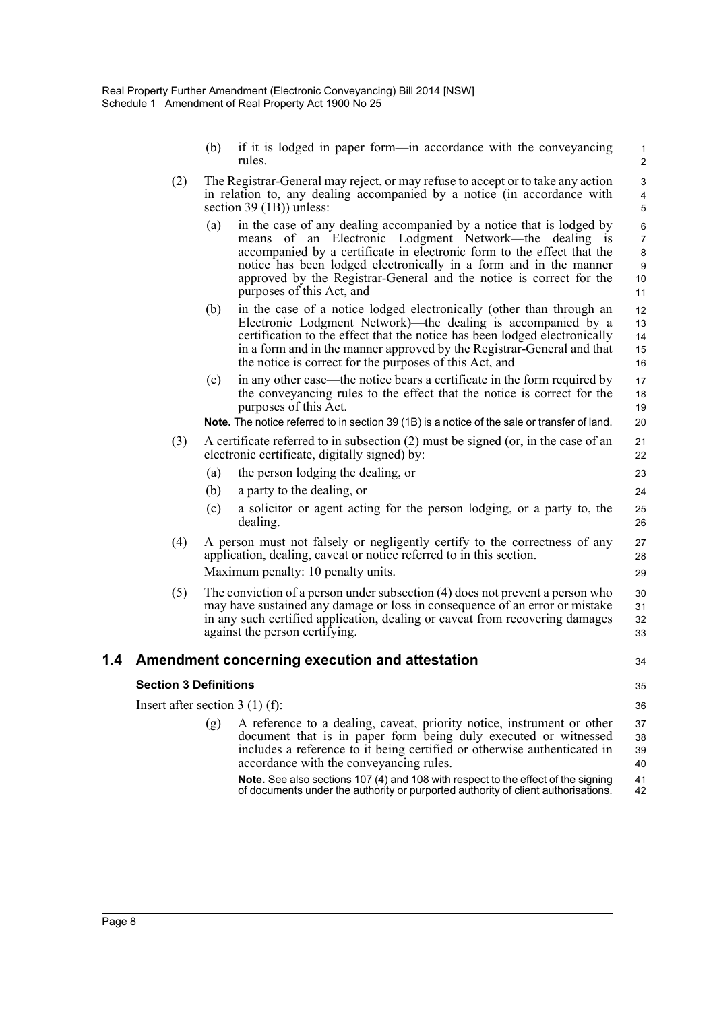- (b) if it is lodged in paper form—in accordance with the conveyancing rules.
- (2) The Registrar-General may reject, or may refuse to accept or to take any action in relation to, any dealing accompanied by a notice (in accordance with section 39 (1B)) unless:
	- (a) in the case of any dealing accompanied by a notice that is lodged by means of an Electronic Lodgment Network—the dealing is accompanied by a certificate in electronic form to the effect that the notice has been lodged electronically in a form and in the manner approved by the Registrar-General and the notice is correct for the purposes of this Act, and
	- (b) in the case of a notice lodged electronically (other than through an Electronic Lodgment Network)—the dealing is accompanied by a certification to the effect that the notice has been lodged electronically in a form and in the manner approved by the Registrar-General and that the notice is correct for the purposes of this Act, and
	- (c) in any other case—the notice bears a certificate in the form required by the conveyancing rules to the effect that the notice is correct for the purposes of this Act.

**Note.** The notice referred to in section 39 (1B) is a notice of the sale or transfer of land.

(3) A certificate referred to in subsection (2) must be signed (or, in the case of an electronic certificate, digitally signed) by:

(a) the person lodging the dealing, or

- (b) a party to the dealing, or
- (c) a solicitor or agent acting for the person lodging, or a party to, the dealing.
- (4) A person must not falsely or negligently certify to the correctness of any application, dealing, caveat or notice referred to in this section. Maximum penalty: 10 penalty units.
- (5) The conviction of a person under subsection (4) does not prevent a person who may have sustained any damage or loss in consequence of an error or mistake in any such certified application, dealing or caveat from recovering damages against the person certifying. 30 31 32 33

#### **1.4 Amendment concerning execution and attestation**

#### **Section 3 Definitions**

35

34

Insert after section 3 (1) (f): (g) A reference to a dealing, caveat, priority notice, instrument or other document that is in paper form being duly executed or witnessed includes a reference to it being certified or otherwise authenticated in accordance with the conveyancing rules. **Note.** See also sections 107 (4) and 108 with respect to the effect of the signing 36 37 38 39 40 41

of documents under the authority or purported authority of client authorisations. 42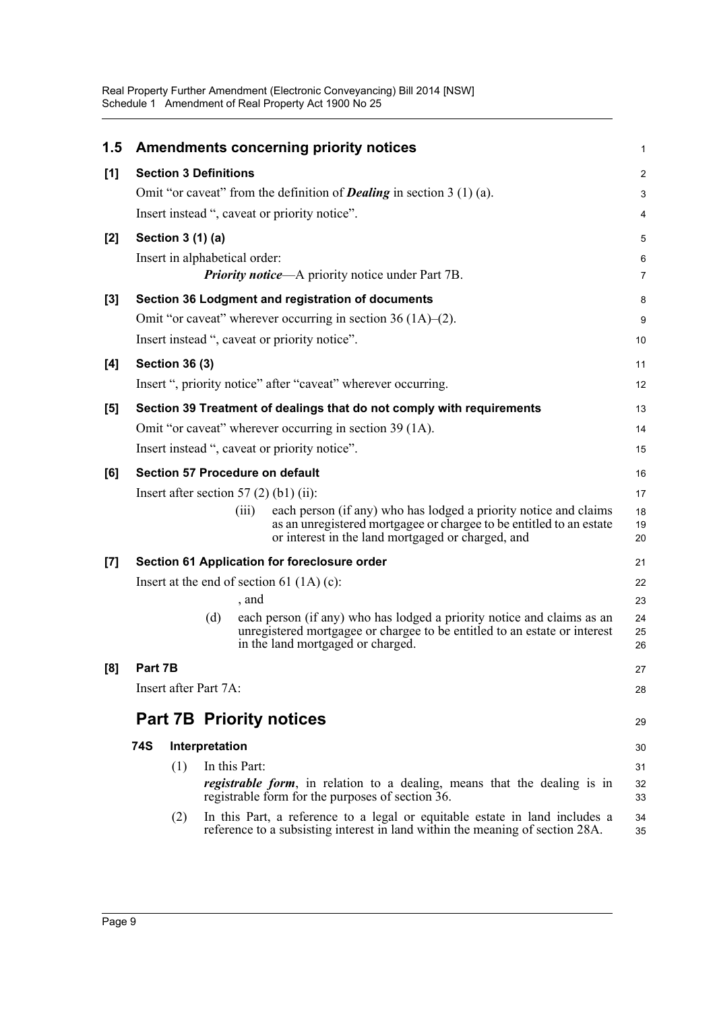| 1.5   |         |                              |                | <b>Amendments concerning priority notices</b>                                                                                                                                                         | 1              |
|-------|---------|------------------------------|----------------|-------------------------------------------------------------------------------------------------------------------------------------------------------------------------------------------------------|----------------|
| [1]   |         | <b>Section 3 Definitions</b> |                |                                                                                                                                                                                                       | $\overline{c}$ |
|       |         |                              |                | Omit "or caveat" from the definition of <b>Dealing</b> in section $3(1)(a)$ .                                                                                                                         | 3              |
|       |         |                              |                | Insert instead ", caveat or priority notice".                                                                                                                                                         | 4              |
| [2]   |         | Section 3 (1) (a)            |                |                                                                                                                                                                                                       | 5              |
|       |         |                              |                | Insert in alphabetical order:                                                                                                                                                                         | 6              |
|       |         |                              |                | <b>Priority notice—A</b> priority notice under Part 7B.                                                                                                                                               | $\overline{7}$ |
| $[3]$ |         |                              |                | Section 36 Lodgment and registration of documents                                                                                                                                                     | 8              |
|       |         |                              |                | Omit "or caveat" wherever occurring in section $36(1A)$ – $(2)$ .                                                                                                                                     | 9              |
|       |         |                              |                | Insert instead ", caveat or priority notice".                                                                                                                                                         | 10             |
| [4]   |         | <b>Section 36 (3)</b>        |                |                                                                                                                                                                                                       | 11             |
|       |         |                              |                | Insert ", priority notice" after "caveat" wherever occurring.                                                                                                                                         | 12             |
| [5]   |         |                              |                | Section 39 Treatment of dealings that do not comply with requirements                                                                                                                                 | 13             |
|       |         |                              |                | Omit "or caveat" wherever occurring in section 39 (1A).                                                                                                                                               | 14             |
|       |         |                              |                | Insert instead ", caveat or priority notice".                                                                                                                                                         | 15             |
| [6]   |         |                              |                | Section 57 Procedure on default                                                                                                                                                                       | 16             |
|       |         |                              |                | Insert after section 57 $(2)$ (b1) (ii):                                                                                                                                                              | 17             |
|       |         |                              |                | each person (if any) who has lodged a priority notice and claims<br>(iii)<br>as an unregistered mortgagee or chargee to be entitled to an estate<br>or interest in the land mortgaged or charged, and | 18<br>19<br>20 |
| [7]   |         |                              |                | Section 61 Application for foreclosure order                                                                                                                                                          | 21             |
|       |         |                              |                | Insert at the end of section 61 $(1A)(c)$ :                                                                                                                                                           | 22             |
|       |         |                              |                | , and                                                                                                                                                                                                 | 23             |
|       |         |                              | (d)            | each person (if any) who has lodged a priority notice and claims as an<br>unregistered mortgagee or chargee to be entitled to an estate or interest<br>in the land mortgaged or charged.              | 24<br>25<br>26 |
| [8]   | Part 7B |                              |                |                                                                                                                                                                                                       | 27             |
|       |         | Insert after Part 7A:        |                |                                                                                                                                                                                                       | 28             |
|       |         |                              |                | <b>Part 7B Priority notices</b>                                                                                                                                                                       | 29             |
|       | 74S     |                              | Interpretation |                                                                                                                                                                                                       | 30             |
|       |         | (1)                          |                | In this Part:                                                                                                                                                                                         | 31             |
|       |         |                              |                | <i>registrable form</i> , in relation to a dealing, means that the dealing is in<br>registrable form for the purposes of section 36.                                                                  | 32<br>33       |
|       |         | (2)                          |                | In this Part, a reference to a legal or equitable estate in land includes a<br>reference to a subsisting interest in land within the meaning of section 28A.                                          | 34<br>35       |
|       |         |                              |                |                                                                                                                                                                                                       |                |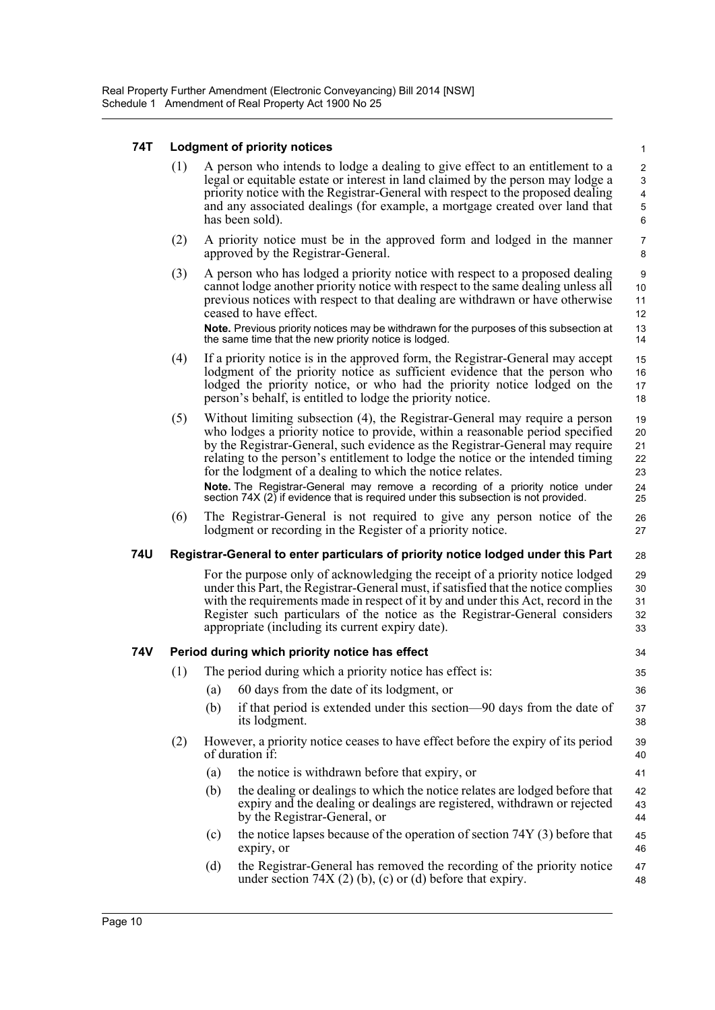#### **74T Lodgment of priority notices**

(1) A person who intends to lodge a dealing to give effect to an entitlement to a legal or equitable estate or interest in land claimed by the person may lodge a priority notice with the Registrar-General with respect to the proposed dealing and any associated dealings (for example, a mortgage created over land that has been sold).

34 35 36

39 40 41

- (2) A priority notice must be in the approved form and lodged in the manner approved by the Registrar-General.
- (3) A person who has lodged a priority notice with respect to a proposed dealing cannot lodge another priority notice with respect to the same dealing unless all previous notices with respect to that dealing are withdrawn or have otherwise ceased to have effect. **Note.** Previous priority notices may be withdrawn for the purposes of this subsection at the same time that the new priority notice is lodged.
- (4) If a priority notice is in the approved form, the Registrar-General may accept lodgment of the priority notice as sufficient evidence that the person who lodged the priority notice, or who had the priority notice lodged on the person's behalf, is entitled to lodge the priority notice.
- (5) Without limiting subsection (4), the Registrar-General may require a person who lodges a priority notice to provide, within a reasonable period specified by the Registrar-General, such evidence as the Registrar-General may require relating to the person's entitlement to lodge the notice or the intended timing for the lodgment of a dealing to which the notice relates. **Note.** The Registrar-General may remove a recording of a priority notice under section 74X (2) if evidence that is required under this subsection is not provided. 19 20 21 22 23 24 25
- (6) The Registrar-General is not required to give any person notice of the lodgment or recording in the Register of a priority notice. 26 27

#### **74U Registrar-General to enter particulars of priority notice lodged under this Part** 28

For the purpose only of acknowledging the receipt of a priority notice lodged under this Part, the Registrar-General must, if satisfied that the notice complies with the requirements made in respect of it by and under this Act, record in the Register such particulars of the notice as the Registrar-General considers appropriate (including its current expiry date). 29 30 31 32 33

#### **74V Period during which priority notice has effect**

- (1) The period during which a priority notice has effect is:
	- (a) 60 days from the date of its lodgment, or
	- (b) if that period is extended under this section—90 days from the date of its lodgment. 37 38
- (2) However, a priority notice ceases to have effect before the expiry of its period of duration if:
	- (a) the notice is withdrawn before that expiry, or
	- (b) the dealing or dealings to which the notice relates are lodged before that expiry and the dealing or dealings are registered, withdrawn or rejected by the Registrar-General, or 42 43 44
	- (c) the notice lapses because of the operation of section 74Y (3) before that expiry, or 45 46
	- (d) the Registrar-General has removed the recording of the priority notice under section  $74X(2)(b)$ , (c) or (d) before that expiry. 47 48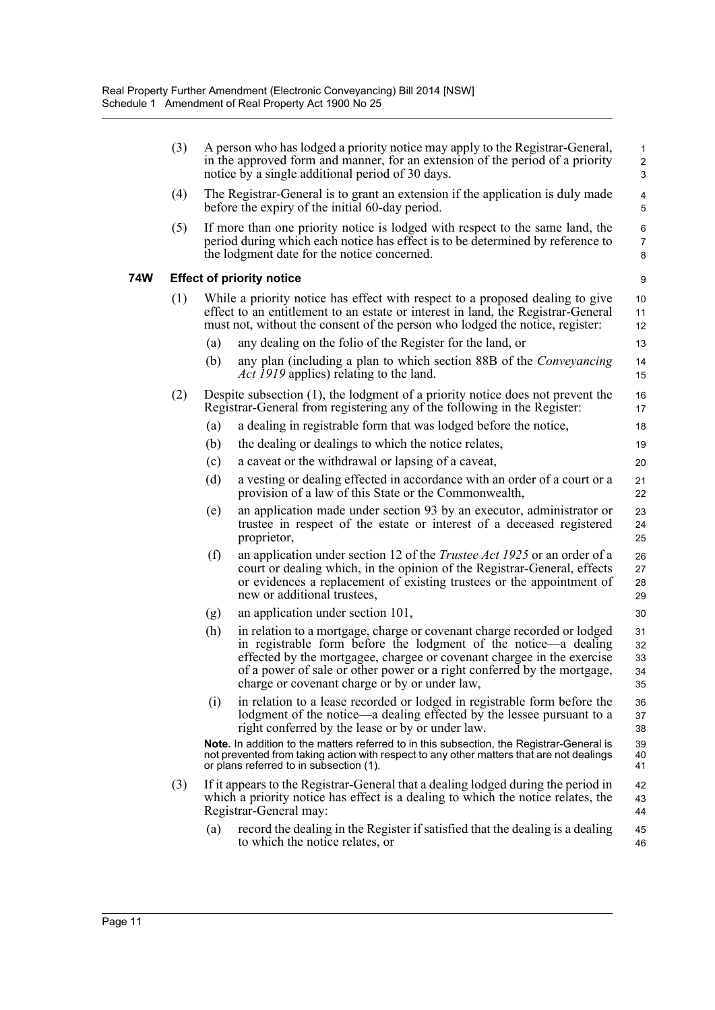| (3) |                                                                                                                                                                                                                                                   | A person who has lodged a priority notice may apply to the Registrar-General,<br>in the approved form and manner, for an extension of the period of a priority<br>notice by a single additional period of 30 days.                                                                                                                               | $\mathbf{1}$<br>$\overline{\mathbf{c}}$<br>3 |  |  |  |  |  |
|-----|---------------------------------------------------------------------------------------------------------------------------------------------------------------------------------------------------------------------------------------------------|--------------------------------------------------------------------------------------------------------------------------------------------------------------------------------------------------------------------------------------------------------------------------------------------------------------------------------------------------|----------------------------------------------|--|--|--|--|--|
| (4) | The Registrar-General is to grant an extension if the application is duly made<br>before the expiry of the initial 60-day period.                                                                                                                 |                                                                                                                                                                                                                                                                                                                                                  |                                              |  |  |  |  |  |
| (5) |                                                                                                                                                                                                                                                   | If more than one priority notice is lodged with respect to the same land, the<br>period during which each notice has effect is to be determined by reference to<br>the lodgment date for the notice concerned.                                                                                                                                   | 6<br>7<br>8                                  |  |  |  |  |  |
|     |                                                                                                                                                                                                                                                   | <b>Effect of priority notice</b>                                                                                                                                                                                                                                                                                                                 | 9                                            |  |  |  |  |  |
| (1) | While a priority notice has effect with respect to a proposed dealing to give<br>effect to an entitlement to an estate or interest in land, the Registrar-General<br>must not, without the consent of the person who lodged the notice, register: |                                                                                                                                                                                                                                                                                                                                                  |                                              |  |  |  |  |  |
|     | (a)                                                                                                                                                                                                                                               | any dealing on the folio of the Register for the land, or                                                                                                                                                                                                                                                                                        | 13                                           |  |  |  |  |  |
|     | (b)                                                                                                                                                                                                                                               | any plan (including a plan to which section 88B of the <i>Conveyancing</i><br><i>Act 1919</i> applies) relating to the land.                                                                                                                                                                                                                     | 14<br>15                                     |  |  |  |  |  |
| (2) |                                                                                                                                                                                                                                                   | Despite subsection $(1)$ , the lodgment of a priority notice does not prevent the<br>Registrar-General from registering any of the following in the Register:                                                                                                                                                                                    | 16<br>17                                     |  |  |  |  |  |
|     | (a)                                                                                                                                                                                                                                               | a dealing in registrable form that was lodged before the notice,                                                                                                                                                                                                                                                                                 | 18                                           |  |  |  |  |  |
|     | (b)                                                                                                                                                                                                                                               | the dealing or dealings to which the notice relates,                                                                                                                                                                                                                                                                                             | 19                                           |  |  |  |  |  |
|     | (c)                                                                                                                                                                                                                                               | a caveat or the withdrawal or lapsing of a caveat,                                                                                                                                                                                                                                                                                               | 20                                           |  |  |  |  |  |
|     | (d)                                                                                                                                                                                                                                               | a vesting or dealing effected in accordance with an order of a court or a<br>provision of a law of this State or the Commonwealth,                                                                                                                                                                                                               | 21<br>22                                     |  |  |  |  |  |
|     | (e)                                                                                                                                                                                                                                               | an application made under section 93 by an executor, administrator or<br>trustee in respect of the estate or interest of a deceased registered<br>proprietor,                                                                                                                                                                                    | 23<br>24<br>25                               |  |  |  |  |  |
|     | (f)                                                                                                                                                                                                                                               | an application under section 12 of the <i>Trustee Act 1925</i> or an order of a<br>court or dealing which, in the opinion of the Registrar-General, effects<br>or evidences a replacement of existing trustees or the appointment of<br>new or additional trustees,                                                                              | 26<br>27<br>28<br>29                         |  |  |  |  |  |
|     | (g)                                                                                                                                                                                                                                               | an application under section 101,                                                                                                                                                                                                                                                                                                                | 30                                           |  |  |  |  |  |
|     | (h)                                                                                                                                                                                                                                               | in relation to a mortgage, charge or covenant charge recorded or lodged<br>in registrable form before the lodgment of the notice—a dealing<br>effected by the mortgagee, chargee or covenant chargee in the exercise<br>of a power of sale or other power or a right conferred by the mortgage,<br>charge or covenant charge or by or under law, | 31<br>32<br>33<br>34<br>35                   |  |  |  |  |  |
|     | (i)                                                                                                                                                                                                                                               | in relation to a lease recorded or lodged in registrable form before the<br>lodgment of the notice—a dealing effected by the lessee pursuant to a<br>right conferred by the lease or by or under law.                                                                                                                                            | 36<br>37<br>38                               |  |  |  |  |  |
|     |                                                                                                                                                                                                                                                   | Note. In addition to the matters referred to in this subsection, the Registrar-General is<br>not prevented from taking action with respect to any other matters that are not dealings<br>or plans referred to in subsection (1).                                                                                                                 | 39<br>40<br>41                               |  |  |  |  |  |
| (3) |                                                                                                                                                                                                                                                   | If it appears to the Registrar-General that a dealing lodged during the period in<br>which a priority notice has effect is a dealing to which the notice relates, the<br>Registrar-General may:                                                                                                                                                  | 42<br>43<br>44                               |  |  |  |  |  |
|     | (a)                                                                                                                                                                                                                                               | record the dealing in the Register if satisfied that the dealing is a dealing<br>to which the notice relates, or                                                                                                                                                                                                                                 | 45<br>46                                     |  |  |  |  |  |

**74W**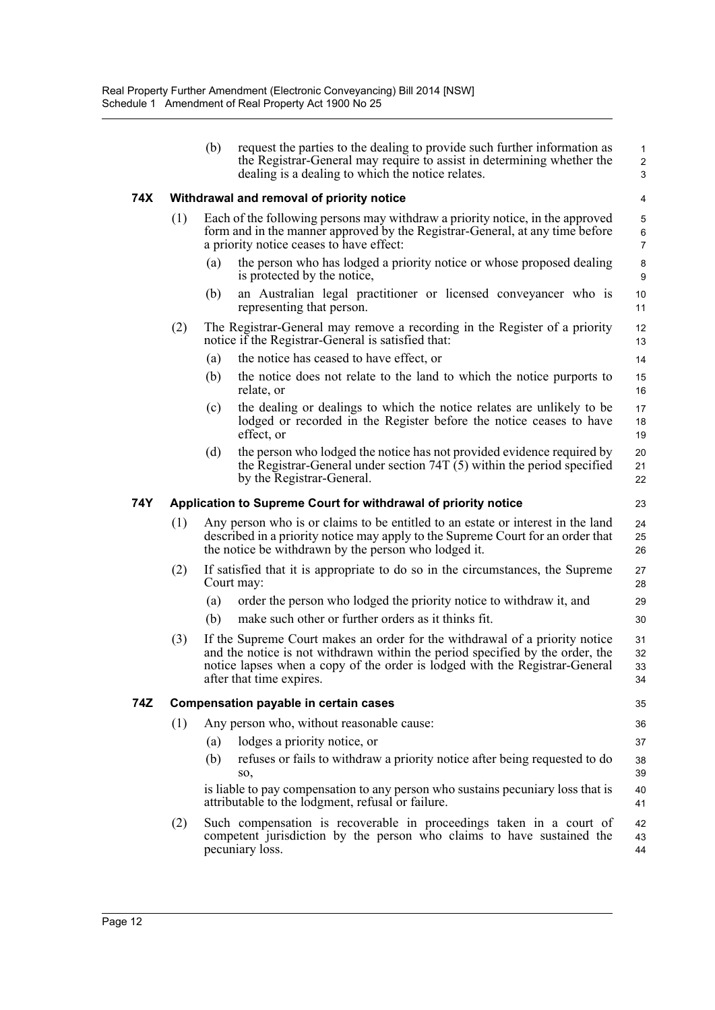|     |     | (b) | request the parties to the dealing to provide such further information as<br>the Registrar-General may require to assist in determining whether the<br>dealing is a dealing to which the notice relates.                                                                | $\mathbf{1}$<br>$\overline{2}$<br>3 |
|-----|-----|-----|-------------------------------------------------------------------------------------------------------------------------------------------------------------------------------------------------------------------------------------------------------------------------|-------------------------------------|
| 74X |     |     | Withdrawal and removal of priority notice                                                                                                                                                                                                                               | 4                                   |
|     | (1) |     | Each of the following persons may withdraw a priority notice, in the approved<br>form and in the manner approved by the Registrar-General, at any time before<br>a priority notice ceases to have effect:                                                               | $\mathbf 5$<br>6<br>$\overline{7}$  |
|     |     | (a) | the person who has lodged a priority notice or whose proposed dealing<br>is protected by the notice,                                                                                                                                                                    | $\bf 8$<br>9                        |
|     |     | (b) | an Australian legal practitioner or licensed conveyancer who is<br>representing that person.                                                                                                                                                                            | 10<br>11                            |
|     | (2) |     | The Registrar-General may remove a recording in the Register of a priority<br>notice if the Registrar-General is satisfied that:                                                                                                                                        | 12<br>13                            |
|     |     | (a) | the notice has ceased to have effect, or                                                                                                                                                                                                                                | 14                                  |
|     |     | (b) | the notice does not relate to the land to which the notice purports to<br>relate, or                                                                                                                                                                                    | 15<br>16                            |
|     |     | (c) | the dealing or dealings to which the notice relates are unlikely to be<br>lodged or recorded in the Register before the notice ceases to have<br>effect, or                                                                                                             | 17<br>18<br>19                      |
|     |     | (d) | the person who lodged the notice has not provided evidence required by<br>the Registrar-General under section 74T $(5)$ within the period specified<br>by the Registrar-General.                                                                                        | 20<br>21<br>22                      |
| 74Y |     |     | Application to Supreme Court for withdrawal of priority notice                                                                                                                                                                                                          | 23                                  |
|     | (1) |     | Any person who is or claims to be entitled to an estate or interest in the land<br>described in a priority notice may apply to the Supreme Court for an order that<br>the notice be withdrawn by the person who lodged it.                                              | 24<br>25<br>26                      |
|     | (2) |     | If satisfied that it is appropriate to do so in the circumstances, the Supreme<br>Court may:                                                                                                                                                                            | 27<br>28                            |
|     |     | (a) | order the person who lodged the priority notice to withdraw it, and                                                                                                                                                                                                     | 29                                  |
|     |     | (b) | make such other or further orders as it thinks fit.                                                                                                                                                                                                                     | 30                                  |
|     | (3) |     | If the Supreme Court makes an order for the withdrawal of a priority notice<br>and the notice is not withdrawn within the period specified by the order, the<br>notice lapses when a copy of the order is lodged with the Registrar-General<br>after that time expires. | 31<br>32<br>33<br>34                |
| 74Z |     |     | <b>Compensation payable in certain cases</b>                                                                                                                                                                                                                            | 35                                  |
|     | (1) |     | Any person who, without reasonable cause:                                                                                                                                                                                                                               | 36                                  |
|     |     | (a) | lodges a priority notice, or                                                                                                                                                                                                                                            | 37                                  |
|     |     | (b) | refuses or fails to withdraw a priority notice after being requested to do<br>SO,                                                                                                                                                                                       | 38<br>39                            |
|     |     |     | is liable to pay compensation to any person who sustains pecuniary loss that is<br>attributable to the lodgment, refusal or failure.                                                                                                                                    | 40<br>41                            |
|     | (2) |     | Such compensation is recoverable in proceedings taken in a court of<br>competent jurisdiction by the person who claims to have sustained the<br>pecuniary loss.                                                                                                         | 42<br>43<br>44                      |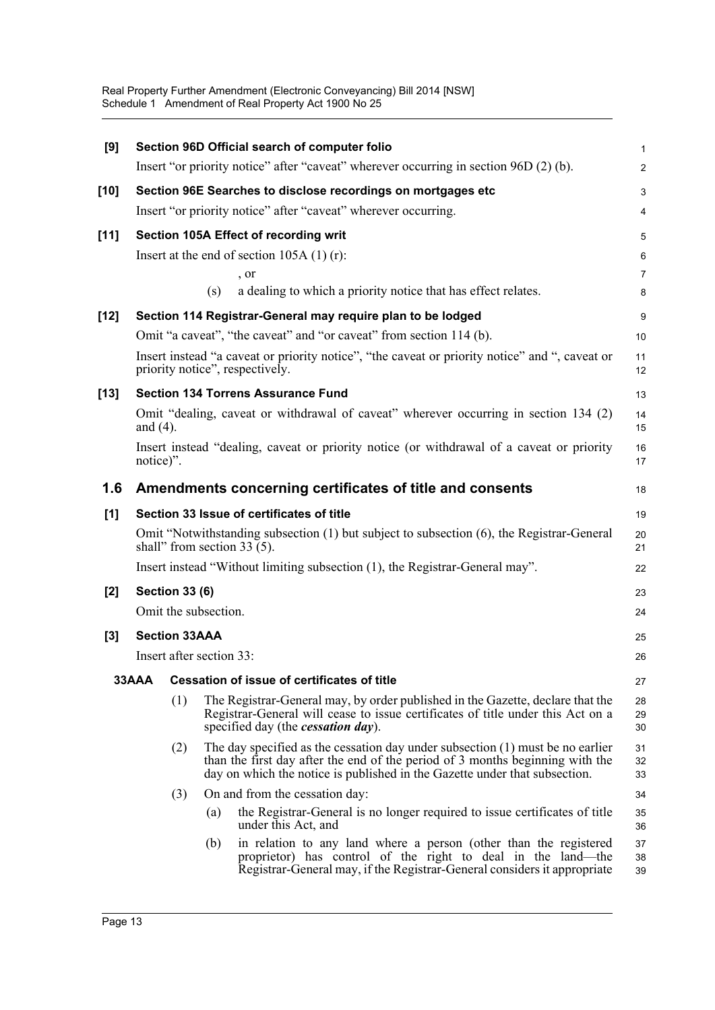Real Property Further Amendment (Electronic Conveyancing) Bill 2014 [NSW] Schedule 1 Amendment of Real Property Act 1900 No 25

| [9]    |                                                                              |                          |     | Section 96D Official search of computer folio                                                                                                                                                                                                 | 1                       |  |  |  |
|--------|------------------------------------------------------------------------------|--------------------------|-----|-----------------------------------------------------------------------------------------------------------------------------------------------------------------------------------------------------------------------------------------------|-------------------------|--|--|--|
|        |                                                                              |                          |     | Insert "or priority notice" after "caveat" wherever occurring in section 96D (2) (b).                                                                                                                                                         | $\overline{\mathbf{c}}$ |  |  |  |
| $[10]$ |                                                                              |                          |     | Section 96E Searches to disclose recordings on mortgages etc                                                                                                                                                                                  | 3                       |  |  |  |
|        |                                                                              |                          |     | Insert "or priority notice" after "caveat" wherever occurring.                                                                                                                                                                                | 4                       |  |  |  |
| $[11]$ |                                                                              |                          |     | Section 105A Effect of recording writ                                                                                                                                                                                                         | 5                       |  |  |  |
|        |                                                                              |                          |     | Insert at the end of section $105A(1)(r)$ :                                                                                                                                                                                                   | 6                       |  |  |  |
|        |                                                                              |                          |     | , or                                                                                                                                                                                                                                          | 7                       |  |  |  |
|        |                                                                              |                          | (s) | a dealing to which a priority notice that has effect relates.                                                                                                                                                                                 | 8                       |  |  |  |
| $[12]$ |                                                                              |                          |     | Section 114 Registrar-General may require plan to be lodged                                                                                                                                                                                   | 9                       |  |  |  |
|        |                                                                              |                          |     | Omit "a caveat", "the caveat" and "or caveat" from section 114 (b).                                                                                                                                                                           | 10                      |  |  |  |
|        |                                                                              |                          |     | Insert instead "a caveat or priority notice", "the caveat or priority notice" and ", caveat or<br>priority notice", respectively.                                                                                                             | 11<br>12                |  |  |  |
| $[13]$ |                                                                              |                          |     | <b>Section 134 Torrens Assurance Fund</b>                                                                                                                                                                                                     | 13                      |  |  |  |
|        | and $(4)$ .                                                                  |                          |     | Omit "dealing, caveat or withdrawal of caveat" wherever occurring in section 134 (2)                                                                                                                                                          | 14<br>15                |  |  |  |
|        | notice)".                                                                    |                          |     | Insert instead "dealing, caveat or priority notice (or withdrawal of a caveat or priority                                                                                                                                                     | 16<br>17                |  |  |  |
| 1.6    |                                                                              |                          |     | Amendments concerning certificates of title and consents                                                                                                                                                                                      | 18                      |  |  |  |
| [1]    |                                                                              |                          |     | Section 33 Issue of certificates of title                                                                                                                                                                                                     | 19                      |  |  |  |
|        |                                                                              |                          |     | Omit "Notwithstanding subsection (1) but subject to subsection (6), the Registrar-General<br>shall" from section $33(5)$ .                                                                                                                    | 20<br>21                |  |  |  |
|        | Insert instead "Without limiting subsection (1), the Registrar-General may". |                          |     |                                                                                                                                                                                                                                               |                         |  |  |  |
| [2]    |                                                                              | <b>Section 33 (6)</b>    |     |                                                                                                                                                                                                                                               |                         |  |  |  |
|        |                                                                              | Omit the subsection.     |     |                                                                                                                                                                                                                                               | 24                      |  |  |  |
| $[3]$  |                                                                              | <b>Section 33AAA</b>     |     |                                                                                                                                                                                                                                               | 25                      |  |  |  |
|        |                                                                              | Insert after section 33: |     |                                                                                                                                                                                                                                               | 26                      |  |  |  |
|        | 33AAA                                                                        |                          |     | <b>Cessation of issue of certificates of title</b>                                                                                                                                                                                            | 27                      |  |  |  |
|        |                                                                              | (1)                      |     | The Registrar-General may, by order published in the Gazette, declare that the<br>Registrar-General will cease to issue certificates of title under this Act on a<br>specified day (the <i>cessation day</i> ).                               | 28<br>29<br>30          |  |  |  |
|        |                                                                              | (2)                      |     | The day specified as the cessation day under subsection (1) must be no earlier<br>than the first day after the end of the period of 3 months beginning with the<br>day on which the notice is published in the Gazette under that subsection. | 31<br>32<br>33          |  |  |  |
|        |                                                                              | (3)                      |     | On and from the cessation day:                                                                                                                                                                                                                | 34                      |  |  |  |
|        |                                                                              |                          | (a) | the Registrar-General is no longer required to issue certificates of title<br>under this Act, and                                                                                                                                             | 35<br>36                |  |  |  |
|        |                                                                              |                          | (b) | in relation to any land where a person (other than the registered<br>proprietor) has control of the right to deal in the land—the<br>Registrar-General may, if the Registrar-General considers it appropriate                                 | 37<br>38<br>39          |  |  |  |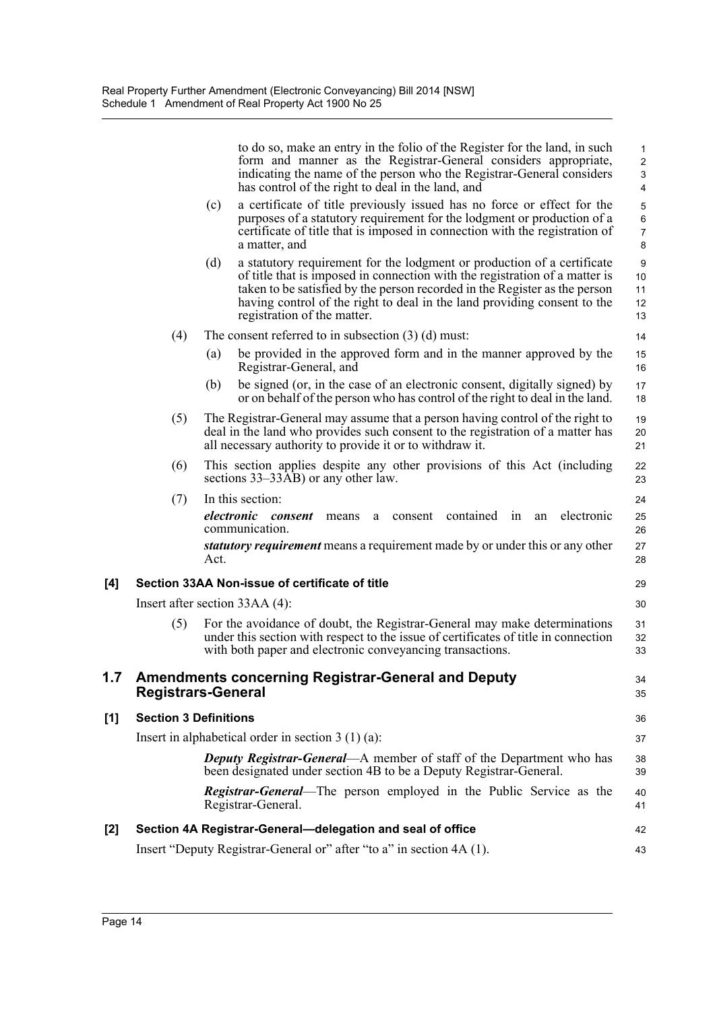|     |                              |      | to do so, make an entry in the folio of the Register for the land, in such<br>form and manner as the Registrar-General considers appropriate,<br>indicating the name of the person who the Registrar-General considers<br>has control of the right to deal in the land, and                                                                     | $\mathbf{1}$<br>$\overline{c}$<br>$\ensuremath{\mathsf{3}}$<br>4 |
|-----|------------------------------|------|-------------------------------------------------------------------------------------------------------------------------------------------------------------------------------------------------------------------------------------------------------------------------------------------------------------------------------------------------|------------------------------------------------------------------|
|     |                              | (c)  | a certificate of title previously issued has no force or effect for the<br>purposes of a statutory requirement for the lodgment or production of a<br>certificate of title that is imposed in connection with the registration of<br>a matter, and                                                                                              | 5<br>$\,6\,$<br>$\overline{7}$<br>8                              |
|     |                              | (d)  | a statutory requirement for the lodgment or production of a certificate<br>of title that is imposed in connection with the registration of a matter is<br>taken to be satisfied by the person recorded in the Register as the person<br>having control of the right to deal in the land providing consent to the<br>registration of the matter. | 9<br>10<br>11<br>12<br>13                                        |
|     | (4)                          |      | The consent referred to in subsection $(3)$ (d) must:                                                                                                                                                                                                                                                                                           | 14                                                               |
|     |                              | (a)  | be provided in the approved form and in the manner approved by the<br>Registrar-General, and                                                                                                                                                                                                                                                    | 15<br>16                                                         |
|     |                              | (b)  | be signed (or, in the case of an electronic consent, digitally signed) by<br>or on behalf of the person who has control of the right to deal in the land.                                                                                                                                                                                       | 17<br>18                                                         |
|     | (5)                          |      | The Registrar-General may assume that a person having control of the right to<br>deal in the land who provides such consent to the registration of a matter has<br>all necessary authority to provide it or to withdraw it.                                                                                                                     | 19<br>20<br>21                                                   |
|     | (6)                          |      | This section applies despite any other provisions of this Act (including<br>sections 33–33AB) or any other law.                                                                                                                                                                                                                                 | 22<br>23                                                         |
|     | (7)                          |      | In this section:                                                                                                                                                                                                                                                                                                                                | 24                                                               |
|     |                              |      | electronic<br>contained in<br>electronic consent<br>consent<br>means<br>an<br>a<br>communication.                                                                                                                                                                                                                                               | 25<br>26                                                         |
|     |                              | Act. | statutory requirement means a requirement made by or under this or any other                                                                                                                                                                                                                                                                    | 27<br>28                                                         |
| [4] |                              |      | Section 33AA Non-issue of certificate of title                                                                                                                                                                                                                                                                                                  | 29                                                               |
|     |                              |      | Insert after section 33AA (4):                                                                                                                                                                                                                                                                                                                  | 30                                                               |
|     | (5)                          |      | For the avoidance of doubt, the Registrar-General may make determinations<br>under this section with respect to the issue of certificates of title in connection<br>with both paper and electronic conveyancing transactions.                                                                                                                   | 31<br>32<br>33                                                   |
| 1.7 | <b>Registrars-General</b>    |      | <b>Amendments concerning Registrar-General and Deputy</b>                                                                                                                                                                                                                                                                                       | 34<br>35                                                         |
| [1] | <b>Section 3 Definitions</b> |      |                                                                                                                                                                                                                                                                                                                                                 | 36                                                               |
|     |                              |      | Insert in alphabetical order in section $3(1)(a)$ :                                                                                                                                                                                                                                                                                             | 37                                                               |
|     |                              |      | <b>Deputy Registrar-General—A</b> member of staff of the Department who has<br>been designated under section 4B to be a Deputy Registrar-General.                                                                                                                                                                                               | 38<br>39                                                         |
|     |                              |      | <b>Registrar-General—The person employed in the Public Service as the</b><br>Registrar-General.                                                                                                                                                                                                                                                 | 40<br>41                                                         |
| [2] |                              |      | Section 4A Registrar-General-delegation and seal of office                                                                                                                                                                                                                                                                                      | 42                                                               |
|     |                              |      | Insert "Deputy Registrar-General or" after "to a" in section 4A (1).                                                                                                                                                                                                                                                                            | 43                                                               |
|     |                              |      |                                                                                                                                                                                                                                                                                                                                                 |                                                                  |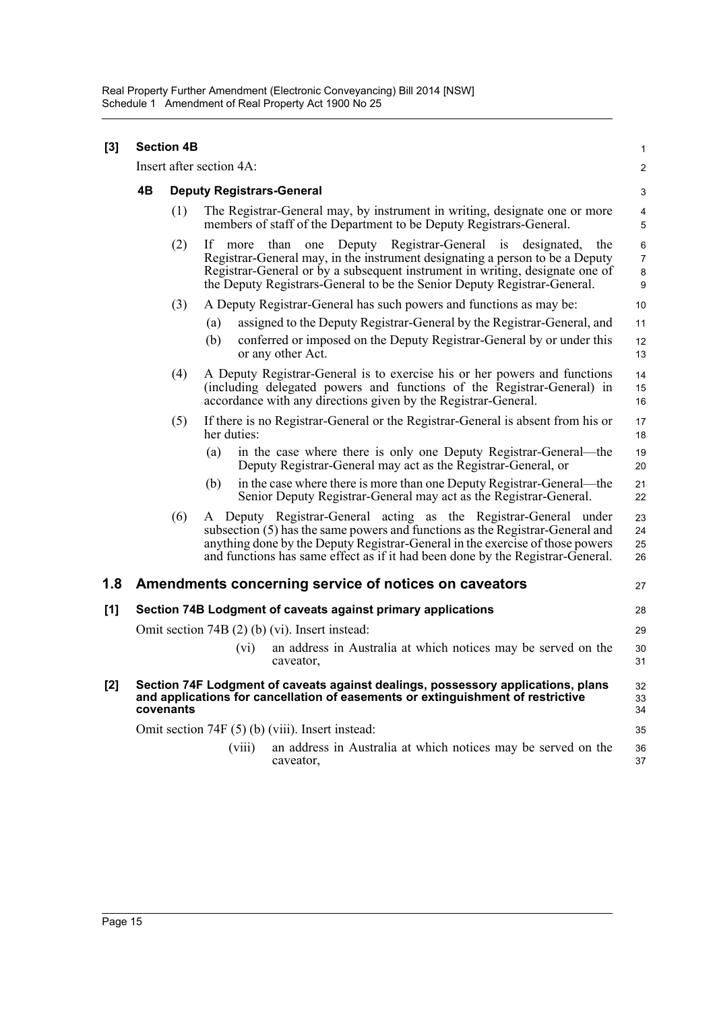| [3] | <b>Section 4B</b><br>Insert after section 4A:                                                                                                                                    |                                  |                                                                                                                                                                                                                                                                                                                            |             |                                                                                                                                                                                                                                                                                                                      |                      |  |  |
|-----|----------------------------------------------------------------------------------------------------------------------------------------------------------------------------------|----------------------------------|----------------------------------------------------------------------------------------------------------------------------------------------------------------------------------------------------------------------------------------------------------------------------------------------------------------------------|-------------|----------------------------------------------------------------------------------------------------------------------------------------------------------------------------------------------------------------------------------------------------------------------------------------------------------------------|----------------------|--|--|
|     |                                                                                                                                                                                  |                                  |                                                                                                                                                                                                                                                                                                                            |             |                                                                                                                                                                                                                                                                                                                      |                      |  |  |
|     | 4B                                                                                                                                                                               | <b>Deputy Registrars-General</b> |                                                                                                                                                                                                                                                                                                                            |             |                                                                                                                                                                                                                                                                                                                      |                      |  |  |
|     |                                                                                                                                                                                  | (1)                              | The Registrar-General may, by instrument in writing, designate one or more<br>members of staff of the Department to be Deputy Registrars-General.                                                                                                                                                                          |             |                                                                                                                                                                                                                                                                                                                      |                      |  |  |
|     |                                                                                                                                                                                  | (2)                              | Deputy Registrar-General is<br>If<br>than<br>designated,<br>the<br>one<br>more<br>Registrar-General may, in the instrument designating a person to be a Deputy<br>Registrar-General or by a subsequent instrument in writing, designate one of<br>the Deputy Registrars-General to be the Senior Deputy Registrar-General. |             |                                                                                                                                                                                                                                                                                                                      |                      |  |  |
|     |                                                                                                                                                                                  | (3)                              |                                                                                                                                                                                                                                                                                                                            |             | A Deputy Registrar-General has such powers and functions as may be:                                                                                                                                                                                                                                                  | 10                   |  |  |
|     |                                                                                                                                                                                  |                                  | (a)<br>(b)                                                                                                                                                                                                                                                                                                                 |             | assigned to the Deputy Registrar-General by the Registrar-General, and<br>conferred or imposed on the Deputy Registrar-General by or under this<br>or any other Act.                                                                                                                                                 | 11<br>12<br>13       |  |  |
|     |                                                                                                                                                                                  | (4)                              |                                                                                                                                                                                                                                                                                                                            |             | A Deputy Registrar-General is to exercise his or her powers and functions<br>(including delegated powers and functions of the Registrar-General) in<br>accordance with any directions given by the Registrar-General.                                                                                                | 14<br>15<br>16       |  |  |
|     |                                                                                                                                                                                  | (5)                              |                                                                                                                                                                                                                                                                                                                            | her duties: | If there is no Registrar-General or the Registrar-General is absent from his or                                                                                                                                                                                                                                      | 17<br>18             |  |  |
|     |                                                                                                                                                                                  |                                  | (a)                                                                                                                                                                                                                                                                                                                        |             | in the case where there is only one Deputy Registrar-General—the<br>Deputy Registrar-General may act as the Registrar-General, or                                                                                                                                                                                    | 19<br>20             |  |  |
|     |                                                                                                                                                                                  |                                  | (b)                                                                                                                                                                                                                                                                                                                        |             | in the case where there is more than one Deputy Registrar-General—the<br>Senior Deputy Registrar-General may act as the Registrar-General.                                                                                                                                                                           | 21<br>22             |  |  |
|     |                                                                                                                                                                                  | (6)                              |                                                                                                                                                                                                                                                                                                                            |             | A Deputy Registrar-General acting as the Registrar-General under<br>subsection (5) has the same powers and functions as the Registrar-General and<br>anything done by the Deputy Registrar-General in the exercise of those powers<br>and functions has same effect as if it had been done by the Registrar-General. | 23<br>24<br>25<br>26 |  |  |
| 1.8 |                                                                                                                                                                                  |                                  |                                                                                                                                                                                                                                                                                                                            |             | Amendments concerning service of notices on caveators                                                                                                                                                                                                                                                                | 27                   |  |  |
| [1] | Section 74B Lodgment of caveats against primary applications<br>28                                                                                                               |                                  |                                                                                                                                                                                                                                                                                                                            |             |                                                                                                                                                                                                                                                                                                                      |                      |  |  |
|     | Omit section 74B (2) (b) (vi). Insert instead:                                                                                                                                   |                                  |                                                                                                                                                                                                                                                                                                                            |             |                                                                                                                                                                                                                                                                                                                      | 29                   |  |  |
|     |                                                                                                                                                                                  |                                  |                                                                                                                                                                                                                                                                                                                            | (vi)        | an address in Australia at which notices may be served on the<br>caveator,                                                                                                                                                                                                                                           | 30<br>31             |  |  |
| [2] | Section 74F Lodgment of caveats against dealings, possessory applications, plans<br>and applications for cancellation of easements or extinguishment of restrictive<br>covenants |                                  |                                                                                                                                                                                                                                                                                                                            |             |                                                                                                                                                                                                                                                                                                                      |                      |  |  |
|     | Omit section 74F (5) (b) (viii). Insert instead:                                                                                                                                 |                                  |                                                                                                                                                                                                                                                                                                                            |             |                                                                                                                                                                                                                                                                                                                      |                      |  |  |
|     |                                                                                                                                                                                  |                                  |                                                                                                                                                                                                                                                                                                                            | (viii)      | an address in Australia at which notices may be served on the<br>caveator,                                                                                                                                                                                                                                           | 36<br>37             |  |  |